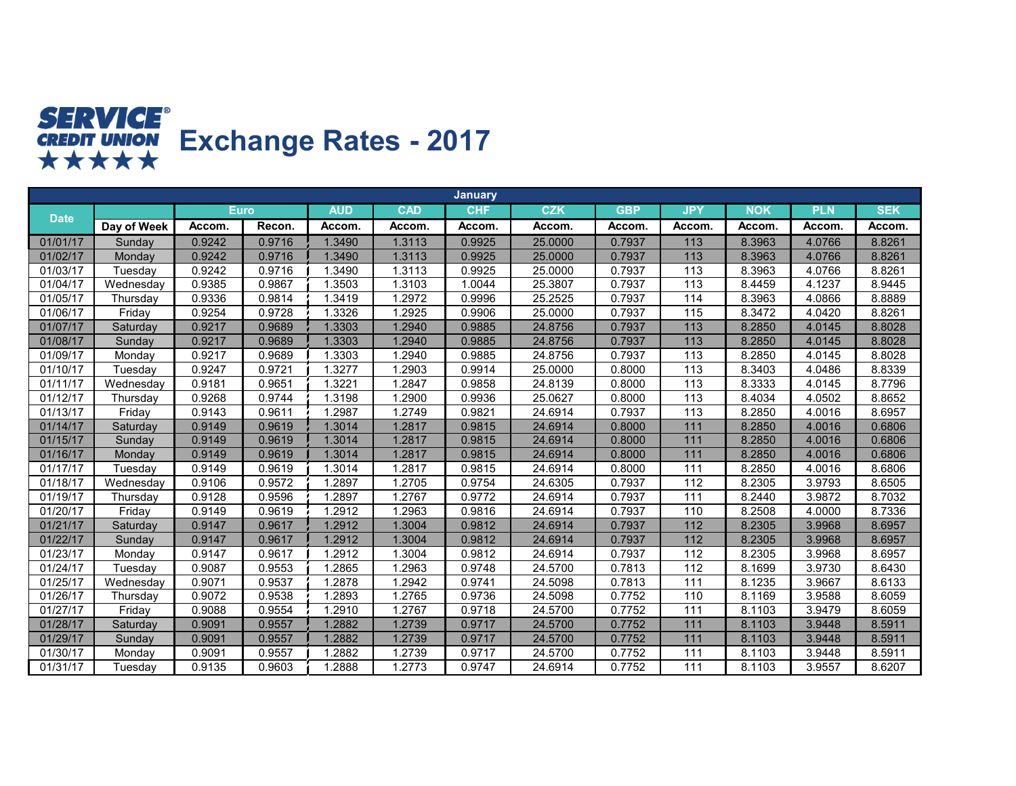

|             |             |             |        |            |            | <b>January</b> |            |            |                  |            |            |            |
|-------------|-------------|-------------|--------|------------|------------|----------------|------------|------------|------------------|------------|------------|------------|
| <b>Date</b> |             | <b>Euro</b> |        | <b>AUD</b> | <b>CAD</b> | <b>CHF</b>     | <b>CZK</b> | <b>GBP</b> | <b>JPY</b>       | <b>NOK</b> | <b>PLN</b> | <b>SEK</b> |
|             | Day of Week | Accom.      | Recon. | Accom.     | Accom.     | Accom.         | Accom.     | Accom.     | Accom.           | Accom.     | Accom.     | Accom.     |
| 01/01/17    | Sunday      | 0.9242      | 0.9716 | 1.3490     | 1.3113     | 0.9925         | 25.0000    | 0.7937     | $113$            | 8.3963     | 4.0766     | 8.8261     |
| 01/02/17    | Monday      | 0.9242      | 0.9716 | 1.3490     | 1.3113     | 0.9925         | 25.0000    | 0.7937     | 113              | 8.3963     | 4.0766     | 8.8261     |
| 01/03/17    | Tuesday     | 0.9242      | 0.9716 | 1.3490     | 1.3113     | 0.9925         | 25.0000    | 0.7937     | 113              | 8.3963     | 4.0766     | 8.8261     |
| 01/04/17    | Wednesday   | 0.9385      | 0.9867 | 1.3503     | .3103      | 1.0044         | 25.3807    | 0.7937     | 113              | 8.4459     | 4.1237     | 8.9445     |
| 01/05/17    | Thursday    | 0.9336      | 0.9814 | 1.3419     | .2972      | 0.9996         | 25.2525    | 0.7937     | 114              | 8.3963     | 4.0866     | 8.8889     |
| 01/06/17    | Friday      | 0.9254      | 0.9728 | 1.3326     | 1.2925     | 0.9906         | 25.0000    | 0.7937     | 115              | 8.3472     | 4.0420     | 8.8261     |
| 01/07/17    | Saturday    | 0.9217      | 0.9689 | 1.3303     | 1.2940     | 0.9885         | 24.8756    | 0.7937     | 113              | 8.2850     | 4.0145     | 8.8028     |
| 01/08/17    | Sunday      | 0.9217      | 0.9689 | 1.3303     | 1.2940     | 0.9885         | 24.8756    | 0.7937     | 113              | 8.2850     | 4.0145     | 8.8028     |
| 01/09/17    | Monday      | 0.9217      | 0.9689 | 1.3303     | .2940      | 0.9885         | 24.8756    | 0.7937     | 113              | 8.2850     | 4.0145     | 8.8028     |
| 01/10/17    | Tuesday     | 0.9247      | 0.9721 | .3277      | .2903      | 0.9914         | 25.0000    | 0.8000     | 113              | 8.3403     | 4.0486     | 8.8339     |
| 01/11/17    | Wednesday   | 0.9181      | 0.9651 | 1.3221     | .2847      | 0.9858         | 24.8139    | 0.8000     | 113              | 8.3333     | 4.0145     | 8.7796     |
| 01/12/17    | Thursday    | 0.9268      | 0.9744 | 1.3198     | .2900      | 0.9936         | 25.0627    | 0.8000     | 113              | 8.4034     | 4.0502     | 8.8652     |
| 01/13/17    | Fridav      | 0.9143      | 0.9611 | 1.2987     | .2749      | 0.9821         | 24.6914    | 0.7937     | 113              | 8.2850     | 4.0016     | 8.6957     |
| 01/14/17    | Saturday    | 0.9149      | 0.9619 | 1.3014     | 1.2817     | 0.9815         | 24.6914    | 0.8000     | 111              | 8.2850     | 4.0016     | 0.6806     |
| 01/15/17    | Sunday      | 0.9149      | 0.9619 | 1.3014     | 1.2817     | 0.9815         | 24.6914    | 0.8000     | 111              | 8.2850     | 4.0016     | 0.6806     |
| 01/16/17    | Monday      | 0.9149      | 0.9619 | 1.3014     | 1.2817     | 0.9815         | 24.6914    | 0.8000     | 111              | 8.2850     | 4.0016     | 0.6806     |
| 01/17/17    | Tuesday     | 0.9149      | 0.9619 | .3014      | .2817      | 0.9815         | 24.6914    | 0.8000     | 111              | 8.2850     | 4.0016     | 8.6806     |
| 01/18/17    | Wednesday   | 0.9106      | 0.9572 | 1.2897     | 1.2705     | 0.9754         | 24.6305    | 0.7937     | 112              | 8.2305     | 3.9793     | 8.6505     |
| 01/19/17    | Thursday    | 0.9128      | 0.9596 | 1.2897     | .2767      | 0.9772         | 24.6914    | 0.7937     | 111              | 8.2440     | 3.9872     | 8.7032     |
| 01/20/17    | Friday      | 0.9149      | 0.9619 | 1.2912     | .2963      | 0.9816         | 24.6914    | 0.7937     | 110              | 8.2508     | 4.0000     | 8.7336     |
| 01/21/17    | Saturday    | 0.9147      | 0.9617 | 1.2912     | 1.3004     | 0.9812         | 24.6914    | 0.7937     | $\overline{112}$ | 8.2305     | 3.9968     | 8.6957     |
| 01/22/17    | Sunday      | 0.9147      | 0.9617 | 1.2912     | 1.3004     | 0.9812         | 24.6914    | 0.7937     | 112              | 8.2305     | 3.9968     | 8.6957     |
| 01/23/17    | Monday      | 0.9147      | 0.9617 | .2912      | .3004      | 0.9812         | 24.6914    | 0.7937     | 112              | 8.2305     | 3.9968     | 8.6957     |
| 01/24/17    | Tuesday     | 0.9087      | 0.9553 | 1.2865     | .2963      | 0.9748         | 24.5700    | 0.7813     | 112              | 8.1699     | 3.9730     | 8.6430     |
| 01/25/17    | Wednesday   | 0.9071      | 0.9537 | 1.2878     | .2942      | 0.9741         | 24.5098    | 0.7813     | 111              | 8.1235     | 3.9667     | 8.6133     |
| 01/26/17    | Thursday    | 0.9072      | 0.9538 | 1.2893     | .2765      | 0.9736         | 24.5098    | 0.7752     | 110              | 8.1169     | 3.9588     | 8.6059     |
| 01/27/17    | Friday      | 0.9088      | 0.9554 | 1.2910     | 1.2767     | 0.9718         | 24.5700    | 0.7752     | 111              | 8.1103     | 3.9479     | 8.6059     |
| 01/28/17    | Saturday    | 0.9091      | 0.9557 | 1.2882     | 1.2739     | 0.9717         | 24.5700    | 0.7752     | $111$            | 8.1103     | 3.9448     | 8.5911     |
| 01/29/17    | Sunday      | 0.9091      | 0.9557 | 1.2882     | 1.2739     | 0.9717         | 24.5700    | 0.7752     | 111              | 8.1103     | 3.9448     | 8.5911     |
| 01/30/17    | Monday      | 0.9091      | 0.9557 | 1.2882     | 1.2739     | 0.9717         | 24.5700    | 0.7752     | 111              | 8.1103     | 3.9448     | 8.5911     |
| 01/31/17    | Tuesday     | 0.9135      | 0.9603 | 1.2888     | 1.2773     | 0.9747         | 24.6914    | 0.7752     | 111              | 8.1103     | 3.9557     | 8.6207     |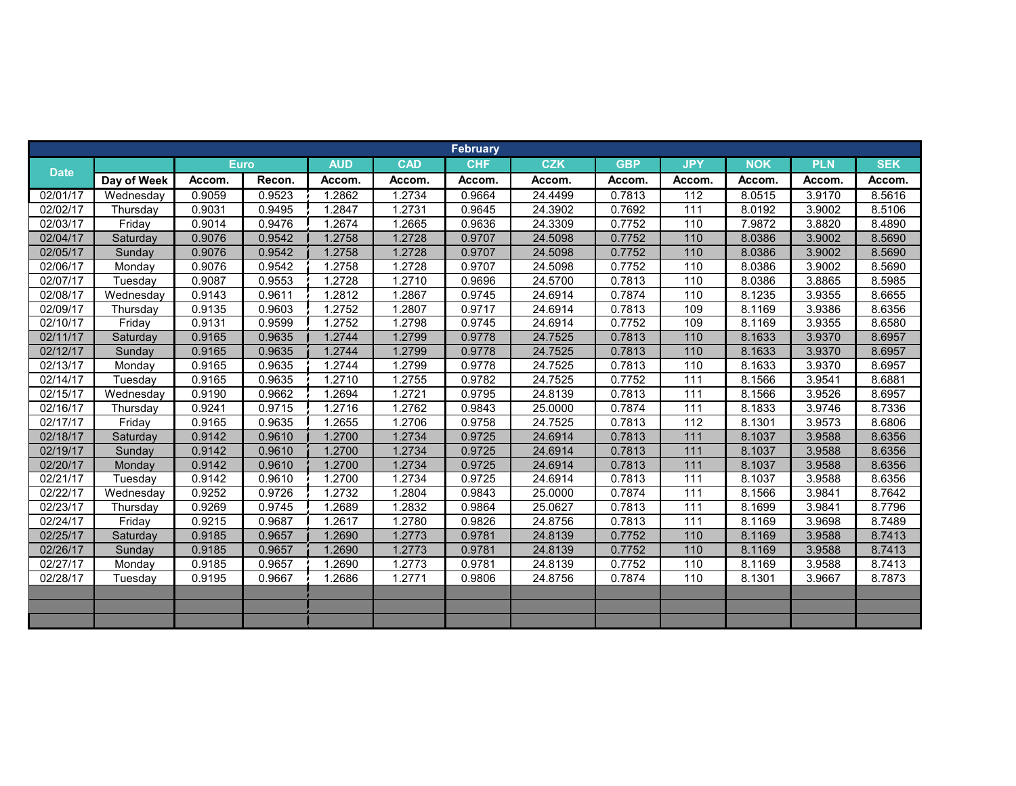|             |             |             |        |            |            | <b>February</b> |            |            |            |            |            |            |
|-------------|-------------|-------------|--------|------------|------------|-----------------|------------|------------|------------|------------|------------|------------|
| <b>Date</b> |             | <b>Euro</b> |        | <b>AUD</b> | <b>CAD</b> | <b>CHF</b>      | <b>CZK</b> | <b>GBP</b> | <b>JPY</b> | <b>NOK</b> | <b>PLN</b> | <b>SEK</b> |
|             | Day of Week | Accom.      | Recon. | Accom.     | Accom.     | Accom.          | Accom.     | Accom.     | Accom.     | Accom.     | Accom      | Accom.     |
| 02/01/17    | Wednesdav   | 0.9059      | 0.9523 | 1.2862     | 1.2734     | 0.9664          | 24.4499    | 0.7813     | 112        | 8.0515     | 3.9170     | 8.5616     |
| 02/02/17    | Thursday    | 0.9031      | 0.9495 | 1.2847     | 1.2731     | 0.9645          | 24.3902    | 0.7692     | 111        | 8.0192     | 3.9002     | 8.5106     |
| 02/03/17    | Friday      | 0.9014      | 0.9476 | 1.2674     | 1.2665     | 0.9636          | 24.3309    | 0.7752     | 110        | 7.9872     | 3.8820     | 8.4890     |
| 02/04/17    | Saturday    | 0.9076      | 0.9542 | 1.2758     | 1.2728     | 0.9707          | 24.5098    | 0.7752     | 110        | 8.0386     | 3.9002     | 8.5690     |
| 02/05/17    | Sunday      | 0.9076      | 0.9542 | 1.2758     | 1.2728     | 0.9707          | 24.5098    | 0.7752     | 110        | 8.0386     | 3.9002     | 8.5690     |
| 02/06/17    | Monday      | 0.9076      | 0.9542 | 1.2758     | 1.2728     | 0.9707          | 24.5098    | 0.7752     | 110        | 8.0386     | 3.9002     | 8.5690     |
| 02/07/17    | Tuesday     | 0.9087      | 0.9553 | 1.2728     | 1.2710     | 0.9696          | 24.5700    | 0.7813     | 110        | 8.0386     | 3.8865     | 8.5985     |
| 02/08/17    | Wednesday   | 0.9143      | 0.9611 | 1.2812     | 1.2867     | 0.9745          | 24.6914    | 0.7874     | 110        | 8.1235     | 3.9355     | 8.6655     |
| 02/09/17    | Thursday    | 0.9135      | 0.9603 | 1.2752     | 1.2807     | 0.9717          | 24.6914    | 0.7813     | 109        | 8.1169     | 3.9386     | 8.6356     |
| 02/10/17    | Friday      | 0.9131      | 0.9599 | 1.2752     | 1.2798     | 0.9745          | 24.6914    | 0.7752     | 109        | 8.1169     | 3.9355     | 8.6580     |
| 02/11/17    | Saturday    | 0.9165      | 0.9635 | 1.2744     | 1.2799     | 0.9778          | 24.7525    | 0.7813     | 110        | 8.1633     | 3.9370     | 8.6957     |
| 02/12/17    | Sunday      | 0.9165      | 0.9635 | 1.2744     | 1.2799     | 0.9778          | 24.7525    | 0.7813     | 110        | 8.1633     | 3.9370     | 8.6957     |
| 02/13/17    | Monday      | 0.9165      | 0.9635 | 1.2744     | 1.2799     | 0.9778          | 24.7525    | 0.7813     | 110        | 8.1633     | 3.9370     | 8.6957     |
| 02/14/17    | Tuesday     | 0.9165      | 0.9635 | 1.2710     | 1.2755     | 0.9782          | 24.7525    | 0.7752     | 111        | 8.1566     | 3.9541     | 8.6881     |
| 02/15/17    | Wednesday   | 0.9190      | 0.9662 | 1.2694     | 1.2721     | 0.9795          | 24.8139    | 0.7813     | 111        | 8.1566     | 3.9526     | 8.6957     |
| 02/16/17    | Thursday    | 0.9241      | 0.9715 | 1.2716     | 1.2762     | 0.9843          | 25.0000    | 0.7874     | 111        | 8.1833     | 3.9746     | 8.7336     |
| 02/17/17    | Friday      | 0.9165      | 0.9635 | 1.2655     | 1.2706     | 0.9758          | 24.7525    | 0.7813     | 112        | 8.1301     | 3.9573     | 8.6806     |
| 02/18/17    | Saturday    | 0.9142      | 0.9610 | 1.2700     | 1.2734     | 0.9725          | 24.6914    | 0.7813     | 111        | 8.1037     | 3.9588     | 8.6356     |
| 02/19/17    | Sunday      | 0.9142      | 0.9610 | 1.2700     | 1.2734     | 0.9725          | 24.6914    | 0.7813     | 111        | 8.1037     | 3.9588     | 8.6356     |
| 02/20/17    | Monday      | 0.9142      | 0.9610 | 1.2700     | 1.2734     | 0.9725          | 24.6914    | 0.7813     | 111        | 8.1037     | 3.9588     | 8.6356     |
| 02/21/17    | Tuesday     | 0.9142      | 0.9610 | 1.2700     | 1.2734     | 0.9725          | 24.6914    | 0.7813     | 111        | 8.1037     | 3.9588     | 8.6356     |
| 02/22/17    | Wednesday   | 0.9252      | 0.9726 | 1.2732     | 1.2804     | 0.9843          | 25.0000    | 0.7874     | 111        | 8.1566     | 3.9841     | 8.7642     |
| 02/23/17    | Thursday    | 0.9269      | 0.9745 | 1.2689     | 1.2832     | 0.9864          | 25.0627    | 0.7813     | 111        | 8.1699     | 3.9841     | 8.7796     |
| 02/24/17    | Friday      | 0.9215      | 0.9687 | 1.2617     | 1.2780     | 0.9826          | 24.8756    | 0.7813     | 111        | 8.1169     | 3.9698     | 8.7489     |
| 02/25/17    | Saturday    | 0.9185      | 0.9657 | 1.2690     | 1.2773     | 0.9781          | 24.8139    | 0.7752     | 110        | 8.1169     | 3.9588     | 8.7413     |
| 02/26/17    | Sunday      | 0.9185      | 0.9657 | 1.2690     | 1.2773     | 0.9781          | 24.8139    | 0.7752     | 110        | 8.1169     | 3.9588     | 8.7413     |
| 02/27/17    | Monday      | 0.9185      | 0.9657 | 1.2690     | 1.2773     | 0.9781          | 24.8139    | 0.7752     | 110        | 8.1169     | 3.9588     | 8.7413     |
| 02/28/17    | Tuesday     | 0.9195      | 0.9667 | 1.2686     | 1.2771     | 0.9806          | 24.8756    | 0.7874     | 110        | 8.1301     | 3.9667     | 8.7873     |
|             |             |             |        |            |            |                 |            |            |            |            |            |            |
|             |             |             |        |            |            |                 |            |            |            |            |            |            |
|             |             |             |        |            |            |                 |            |            |            |            |            |            |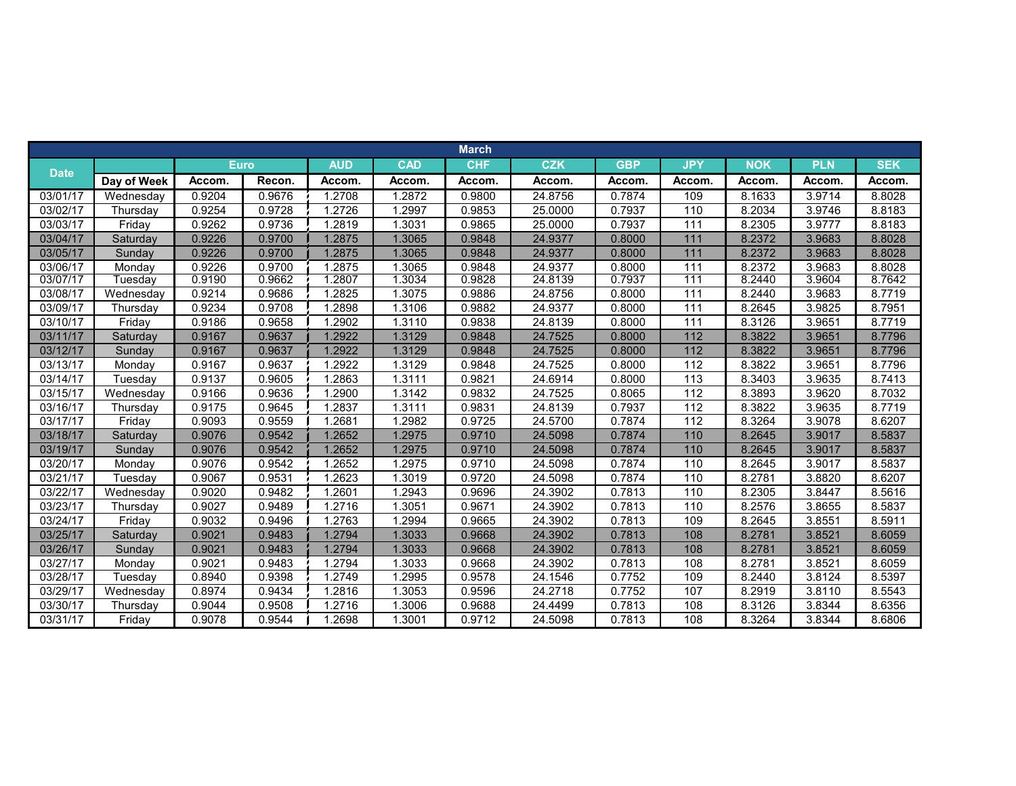|             |             |             |        |            |            | <b>March</b> |            |            |            |            |            |            |
|-------------|-------------|-------------|--------|------------|------------|--------------|------------|------------|------------|------------|------------|------------|
|             |             | <b>Euro</b> |        | <b>AUD</b> | <b>CAD</b> | <b>CHF</b>   | <b>CZK</b> | <b>GBP</b> | <b>JPY</b> | <b>NOK</b> | <b>PLN</b> | <b>SEK</b> |
| <b>Date</b> | Day of Week | Accom.      | Recon. | Accom.     | Accom.     | Accom.       | Accom.     | Accom.     | Accom.     | Accom.     | Accom.     | Accom.     |
| 03/01/17    | Wednesday   | 0.9204      | 0.9676 | 1.2708     | 1.2872     | 0.9800       | 24.8756    | 0.7874     | 109        | 8.1633     | 3.9714     | 8.8028     |
| 03/02/17    | Thursday    | 0.9254      | 0.9728 | 1.2726     | 1.2997     | 0.9853       | 25.0000    | 0.7937     | 110        | 8.2034     | 3.9746     | 8.8183     |
| 03/03/17    | Friday      | 0.9262      | 0.9736 | 1.2819     | 1.3031     | 0.9865       | 25.0000    | 0.7937     | 111        | 8.2305     | 3.9777     | 8.8183     |
| 03/04/17    | Saturday    | 0.9226      | 0.9700 | 1.2875     | 1.3065     | 0.9848       | 24.9377    | 0.8000     | 111        | 8.2372     | 3.9683     | 8.8028     |
| 03/05/17    | Sunday      | 0.9226      | 0.9700 | 1.2875     | 1.3065     | 0.9848       | 24.9377    | 0.8000     | 111        | 8.2372     | 3.9683     | 8.8028     |
| 03/06/17    | Monday      | 0.9226      | 0.9700 | 1.2875     | 1.3065     | 0.9848       | 24.9377    | 0.8000     | 111        | 8.2372     | 3.9683     | 8.8028     |
| 03/07/17    | Tuesdav     | 0.9190      | 0.9662 | 1.2807     | 1.3034     | 0.9828       | 24.8139    | 0.7937     | 111        | 8.2440     | 3.9604     | 8.7642     |
| 03/08/17    | Wednesday   | 0.9214      | 0.9686 | 1.2825     | 1.3075     | 0.9886       | 24.8756    | 0.8000     | 111        | 8.2440     | 3.9683     | 8.7719     |
| 03/09/17    | Thursday    | 0.9234      | 0.9708 | 1.2898     | 1.3106     | 0.9882       | 24.9377    | 0.8000     | 111        | 8.2645     | 3.9825     | 8.7951     |
| 03/10/17    | Friday      | 0.9186      | 0.9658 | 1.2902     | 1.3110     | 0.9838       | 24.8139    | 0.8000     | 111        | 8.3126     | 3.9651     | 8.7719     |
| 03/11/17    | Saturday    | 0.9167      | 0.9637 | 1.2922     | 1.3129     | 0.9848       | 24.7525    | 0.8000     | 112        | 8.3822     | 3.9651     | 8.7796     |
| 03/12/17    | Sunday      | 0.9167      | 0.9637 | 1.2922     | 1.3129     | 0.9848       | 24.7525    | 0.8000     | 112        | 8.3822     | 3.9651     | 8.7796     |
| 03/13/17    | Monday      | 0.9167      | 0.9637 | 1.2922     | 1.3129     | 0.9848       | 24.7525    | 0.8000     | 112        | 8.3822     | 3.9651     | 8.7796     |
| 03/14/17    | Tuesday     | 0.9137      | 0.9605 | 1.2863     | 1.3111     | 0.9821       | 24.6914    | 0.8000     | 113        | 8.3403     | 3.9635     | 8.7413     |
| 03/15/17    | Wednesday   | 0.9166      | 0.9636 | 1.2900     | 1.3142     | 0.9832       | 24.7525    | 0.8065     | 112        | 8.3893     | 3.9620     | 8.7032     |
| 03/16/17    | Thursday    | 0.9175      | 0.9645 | 1.2837     | 1.3111     | 0.9831       | 24.8139    | 0.7937     | 112        | 8.3822     | 3.9635     | 8.7719     |
| 03/17/17    | Friday      | 0.9093      | 0.9559 | 1.2681     | 1.2982     | 0.9725       | 24.5700    | 0.7874     | 112        | 8.3264     | 3.9078     | 8.6207     |
| 03/18/17    | Saturday    | 0.9076      | 0.9542 | 1.2652     | 1.2975     | 0.9710       | 24.5098    | 0.7874     | 110        | 8.2645     | 3.9017     | 8.5837     |
| 03/19/17    | Sundav      | 0.9076      | 0.9542 | 1.2652     | 1.2975     | 0.9710       | 24.5098    | 0.7874     | 110        | 8.2645     | 3.9017     | 8.5837     |
| 03/20/17    | Monday      | 0.9076      | 0.9542 | 1.2652     | 1.2975     | 0.9710       | 24.5098    | 0.7874     | 110        | 8.2645     | 3.9017     | 8.5837     |
| 03/21/17    | Tuesday     | 0.9067      | 0.9531 | 1.2623     | 1.3019     | 0.9720       | 24.5098    | 0.7874     | 110        | 8.2781     | 3.8820     | 8.6207     |
| 03/22/17    | Wednesday   | 0.9020      | 0.9482 | 1.2601     | 1.2943     | 0.9696       | 24.3902    | 0.7813     | 110        | 8.2305     | 3.8447     | 8.5616     |
| 03/23/17    | Thursday    | 0.9027      | 0.9489 | 1.2716     | 1.3051     | 0.9671       | 24.3902    | 0.7813     | 110        | 8.2576     | 3.8655     | 8.5837     |
| 03/24/17    | Friday      | 0.9032      | 0.9496 | 1.2763     | 1.2994     | 0.9665       | 24.3902    | 0.7813     | 109        | 8.2645     | 3.8551     | 8.5911     |
| 03/25/17    | Saturday    | 0.9021      | 0.9483 | 1.2794     | 1.3033     | 0.9668       | 24.3902    | 0.7813     | 108        | 8.2781     | 3.8521     | 8.6059     |
| 03/26/17    | Sunday      | 0.9021      | 0.9483 | 1.2794     | 1.3033     | 0.9668       | 24.3902    | 0.7813     | 108        | 8.2781     | 3.8521     | 8.6059     |
| 03/27/17    | Monday      | 0.9021      | 0.9483 | 1.2794     | 1.3033     | 0.9668       | 24.3902    | 0.7813     | 108        | 8.2781     | 3.8521     | 8.6059     |
| 03/28/17    | Tuesday     | 0.8940      | 0.9398 | 1.2749     | 1.2995     | 0.9578       | 24.1546    | 0.7752     | 109        | 8.2440     | 3.8124     | 8.5397     |
| 03/29/17    | Wednesday   | 0.8974      | 0.9434 | 1.2816     | 1.3053     | 0.9596       | 24.2718    | 0.7752     | 107        | 8.2919     | 3.8110     | 8.5543     |
| 03/30/17    | Thursday    | 0.9044      | 0.9508 | 1.2716     | 1.3006     | 0.9688       | 24.4499    | 0.7813     | 108        | 8.3126     | 3.8344     | 8.6356     |
| 03/31/17    | Friday      | 0.9078      | 0.9544 | 1.2698     | 1.3001     | 0.9712       | 24.5098    | 0.7813     | 108        | 8.3264     | 3.8344     | 8.6806     |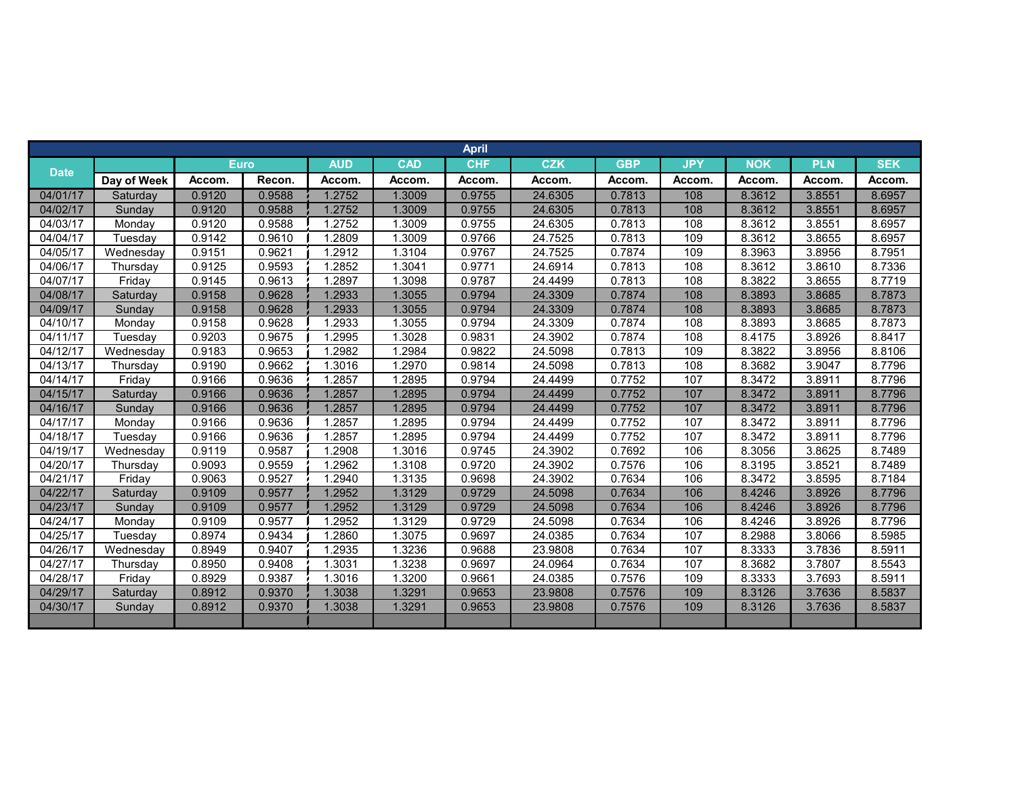|             |             |        |        |            |            | <b>April</b> |            |            |            |            |            |            |
|-------------|-------------|--------|--------|------------|------------|--------------|------------|------------|------------|------------|------------|------------|
|             |             | Euro,  |        | <b>AUD</b> | <b>CAD</b> | <b>CHF</b>   | <b>CZK</b> | <b>GBP</b> | <b>JPY</b> | <b>NOK</b> | <b>PLN</b> | <b>SEK</b> |
| <b>Date</b> | Day of Week | Accom. | Recon. | Accom.     | Accom.     | Accom.       | Accom.     | Accom.     | Accom.     | Accom.     | Accom.     | Accom.     |
| 04/01/17    | Saturday    | 0.9120 | 0.9588 | 1.2752     | 1.3009     | 0.9755       | 24.6305    | 0.7813     | 108        | 8.3612     | 3.8551     | 8.6957     |
| 04/02/17    | Sunday      | 0.9120 | 0.9588 | 1.2752     | 1.3009     | 0.9755       | 24.6305    | 0.7813     | 108        | 8.3612     | 3.8551     | 8.6957     |
| 04/03/17    | Monday      | 0.9120 | 0.9588 | 1.2752     | 1.3009     | 0.9755       | 24.6305    | 0.7813     | 108        | 8.3612     | 3.8551     | 8.6957     |
| 04/04/17    | Tuesday     | 0.9142 | 0.9610 | 1.2809     | 1.3009     | 0.9766       | 24.7525    | 0.7813     | 109        | 8.3612     | 3.8655     | 8.6957     |
| 04/05/17    | Wednesday   | 0.9151 | 0.9621 | 1.2912     | 1.3104     | 0.9767       | 24.7525    | 0.7874     | 109        | 8.3963     | 3.8956     | 8.7951     |
| 04/06/17    | Thursday    | 0.9125 | 0.9593 | 1.2852     | 1.3041     | 0.9771       | 24.6914    | 0.7813     | 108        | 8.3612     | 3.8610     | 8.7336     |
| 04/07/17    | Friday      | 0.9145 | 0.9613 | 1.2897     | 1.3098     | 0.9787       | 24.4499    | 0.7813     | 108        | 8.3822     | 3.8655     | 8.7719     |
| 04/08/17    | Saturday    | 0.9158 | 0.9628 | 1.2933     | 1.3055     | 0.9794       | 24.3309    | 0.7874     | 108        | 8.3893     | 3.8685     | 8.7873     |
| 04/09/17    | Sunday      | 0.9158 | 0.9628 | 1.2933     | 1.3055     | 0.9794       | 24.3309    | 0.7874     | 108        | 8.3893     | 3.8685     | 8.7873     |
| 04/10/17    | Monday      | 0.9158 | 0.9628 | 1.2933     | 1.3055     | 0.9794       | 24.3309    | 0.7874     | 108        | 8.3893     | 3.8685     | 8.7873     |
| 04/11/17    | Tuesday     | 0.9203 | 0.9675 | 1.2995     | 1.3028     | 0.9831       | 24.3902    | 0.7874     | 108        | 8.4175     | 3.8926     | 8.8417     |
| 04/12/17    | Wednesday   | 0.9183 | 0.9653 | 1.2982     | 1.2984     | 0.9822       | 24.5098    | 0.7813     | 109        | 8.3822     | 3.8956     | 8.8106     |
| 04/13/17    | Thursday    | 0.9190 | 0.9662 | 1.3016     | 1.2970     | 0.9814       | 24.5098    | 0.7813     | 108        | 8.3682     | 3.9047     | 8.7796     |
| 04/14/17    | Friday      | 0.9166 | 0.9636 | 1.2857     | 1.2895     | 0.9794       | 24.4499    | 0.7752     | 107        | 8.3472     | 3.8911     | 8.7796     |
| 04/15/17    | Saturday    | 0.9166 | 0.9636 | 1.2857     | 1.2895     | 0.9794       | 24.4499    | 0.7752     | 107        | 8.3472     | 3.8911     | 8.7796     |
| 04/16/17    | Sunday      | 0.9166 | 0.9636 | 1.2857     | 1.2895     | 0.9794       | 24.4499    | 0.7752     | 107        | 8.3472     | 3.8911     | 8.7796     |
| 04/17/17    | Monday      | 0.9166 | 0.9636 | 1.2857     | 1.2895     | 0.9794       | 24.4499    | 0.7752     | 107        | 8.3472     | 3.8911     | 8.7796     |
| 04/18/17    | Tuesday     | 0.9166 | 0.9636 | 1.2857     | 1.2895     | 0.9794       | 24.4499    | 0.7752     | 107        | 8.3472     | 3.8911     | 8.7796     |
| 04/19/17    | Wednesday   | 0.9119 | 0.9587 | 1.2908     | 1.3016     | 0.9745       | 24.3902    | 0.7692     | 106        | 8.3056     | 3.8625     | 8.7489     |
| 04/20/17    | Thursday    | 0.9093 | 0.9559 | 1.2962     | 1.3108     | 0.9720       | 24.3902    | 0.7576     | 106        | 8.3195     | 3.852      | 8.7489     |
| 04/21/17    | Fridav      | 0.9063 | 0.9527 | 1.2940     | 1.3135     | 0.9698       | 24.3902    | 0.7634     | 106        | 8.3472     | 3.8595     | 8.7184     |
| 04/22/17    | Saturday    | 0.9109 | 0.9577 | 1.2952     | 1.3129     | 0.9729       | 24.5098    | 0.7634     | 106        | 8.4246     | 3.8926     | 8.7796     |
| 04/23/17    | Sunday      | 0.9109 | 0.9577 | 1.2952     | 1.3129     | 0.9729       | 24.5098    | 0.7634     | 106        | 8.4246     | 3.8926     | 8.7796     |
| 04/24/17    | Monday      | 0.9109 | 0.9577 | 1.2952     | 1.3129     | 0.9729       | 24.5098    | 0.7634     | 106        | 8.4246     | 3.8926     | 8.7796     |
| 04/25/17    | Tuesday     | 0.8974 | 0.9434 | 1.2860     | 1.3075     | 0.9697       | 24.0385    | 0.7634     | 107        | 8.2988     | 3.8066     | 8.5985     |
| 04/26/17    | Wednesday   | 0.8949 | 0.9407 | 1.2935     | 1.3236     | 0.9688       | 23.9808    | 0.7634     | 107        | 8.3333     | 3.7836     | 8.5911     |
| 04/27/17    | Thursday    | 0.8950 | 0.9408 | 1.3031     | 1.3238     | 0.9697       | 24.0964    | 0.7634     | 107        | 8.3682     | 3.7807     | 8.5543     |
| 04/28/17    | Friday      | 0.8929 | 0.9387 | 1.3016     | 1.3200     | 0.9661       | 24.0385    | 0.7576     | 109        | 8.3333     | 3.7693     | 8.5911     |
| 04/29/17    | Saturday    | 0.8912 | 0.9370 | 1.3038     | 1.3291     | 0.9653       | 23.9808    | 0.7576     | 109        | 8.3126     | 3.7636     | 8.5837     |
| 04/30/17    | Sunday      | 0.8912 | 0.9370 | 1.3038     | 1.3291     | 0.9653       | 23.9808    | 0.7576     | 109        | 8.3126     | 3.7636     | 8.5837     |
|             |             |        |        |            |            |              |            |            |            |            |            |            |
|             |             |        |        |            |            |              |            |            |            |            |            |            |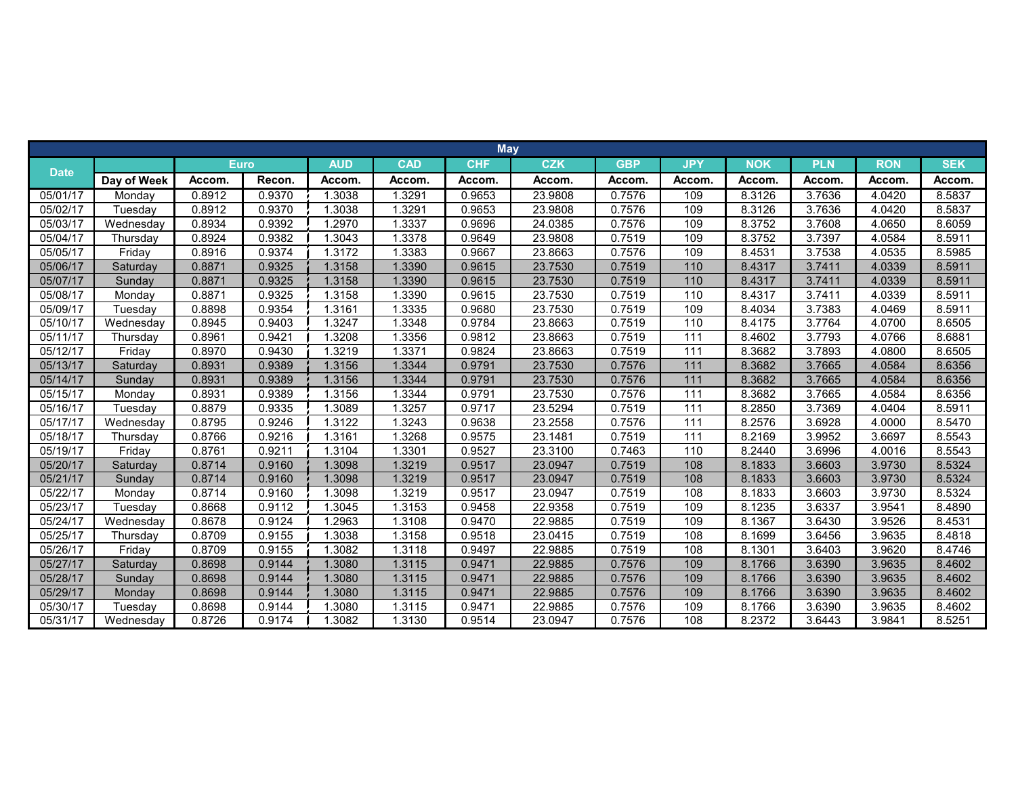|             |             |             |        |            |            | <b>May</b> |            |            |                  |            |            |            |            |
|-------------|-------------|-------------|--------|------------|------------|------------|------------|------------|------------------|------------|------------|------------|------------|
|             |             | <b>Euro</b> |        | <b>AUD</b> | <b>CAD</b> | <b>CHF</b> | <b>CZK</b> | <b>GBP</b> | <b>JPY</b>       | <b>NOK</b> | <b>PLN</b> | <b>RON</b> | <b>SEK</b> |
| <b>Date</b> | Day of Week | Accom.      | Recon. | Accom.     | Accom.     | Accom.     | Accom.     | Accom.     | Accom.           | Accom.     | Accom.     | Accom.     | Accom.     |
| 05/01/17    | Monday      | 0.8912      | 0.9370 | 1.3038     | 1.3291     | 0.9653     | 23.9808    | 0.7576     | 109              | 8.3126     | 3.7636     | 4.0420     | 8.5837     |
| 05/02/17    | Tuesday     | 0.8912      | 0.9370 | 1.3038     | 1.3291     | 0.9653     | 23.9808    | 0.7576     | 109              | 8.3126     | 3.7636     | 4.0420     | 8.5837     |
| 05/03/17    | Wednesday   | 0.8934      | 0.9392 | 1.2970     | 1.3337     | 0.9696     | 24.0385    | 0.7576     | 109              | 8.3752     | 3.7608     | 4.0650     | 8.6059     |
| 05/04/17    | Thursday    | 0.8924      | 0.9382 | 1.3043     | 1.3378     | 0.9649     | 23.9808    | 0.7519     | 109              | 8.3752     | 3.7397     | 4.0584     | 8.5911     |
| 05/05/17    | Friday      | 0.8916      | 0.9374 | 1.3172     | 1.3383     | 0.9667     | 23.8663    | 0.7576     | 109              | 8.4531     | 3.7538     | 4.0535     | 8.5985     |
| 05/06/17    | Saturday    | 0.8871      | 0.9325 | 1.3158     | 1.3390     | 0.9615     | 23.7530    | 0.7519     | 110              | 8.4317     | 3.7411     | 4.0339     | 8.5911     |
| 05/07/17    | Sunday      | 0.8871      | 0.9325 | 1.3158     | 1.3390     | 0.9615     | 23.7530    | 0.7519     | 110              | 8.4317     | 3.7411     | 4.0339     | 8.5911     |
| 05/08/17    | Monday      | 0.8871      | 0.9325 | 1.3158     | 1.3390     | 0.9615     | 23.7530    | 0.7519     | 110              | 8.4317     | 3.7411     | 4.0339     | 8.5911     |
| 05/09/17    | Tuesday     | 0.8898      | 0.9354 | 1.3161     | 1.3335     | 0.9680     | 23.7530    | 0.7519     | 109              | 8.4034     | 3.7383     | 4.0469     | 8.5911     |
| 05/10/17    | Wednesday   | 0.8945      | 0.9403 | 1.3247     | 1.3348     | 0.9784     | 23.8663    | 0.7519     | 110              | 8.4175     | 3.7764     | 4.0700     | 8.6505     |
| 05/11/17    | Thursday    | 0.8961      | 0.9421 | 1.3208     | 1.3356     | 0.9812     | 23.8663    | 0.7519     | 111              | 8.4602     | 3.7793     | 4.0766     | 8.6881     |
| 05/12/17    | Friday      | 0.8970      | 0.9430 | 1.3219     | 1.3371     | 0.9824     | 23.8663    | 0.7519     | 111              | 8.3682     | 3.7893     | 4.0800     | 8.6505     |
| 05/13/17    | Saturday    | 0.8931      | 0.9389 | 1.3156     | 1.3344     | 0.9791     | 23.7530    | 0.7576     | 111              | 8.3682     | 3.7665     | 4.0584     | 8.6356     |
| 05/14/17    | Sunday      | 0.8931      | 0.9389 | 1.3156     | 1.3344     | 0.9791     | 23.7530    | 0.7576     | 111              | 8.3682     | 3.7665     | 4.0584     | 8.6356     |
| 05/15/17    | Monday      | 0.8931      | 0.9389 | 1.3156     | 1.3344     | 0.9791     | 23.7530    | 0.7576     | 111              | 8.3682     | 3.7665     | 4.0584     | 8.6356     |
| 05/16/17    | Tuesday     | 0.8879      | 0.9335 | 1.3089     | 1.3257     | 0.9717     | 23.5294    | 0.7519     | 111              | 8.2850     | 3.7369     | 4.0404     | 8.5911     |
| 05/17/17    | Wednesday   | 0.8795      | 0.9246 | 1.3122     | 1.3243     | 0.9638     | 23.2558    | 0.7576     | $\frac{111}{11}$ | 8.2576     | 3.6928     | 4.0000     | 8.5470     |
| 05/18/17    | Thursday    | 0.8766      | 0.9216 | 1.3161     | 1.3268     | 0.9575     | 23.1481    | 0.7519     | 111              | 8.2169     | 3.9952     | 3.6697     | 8.5543     |
| 05/19/17    | Friday      | 0.8761      | 0.9211 | 1.3104     | 1.3301     | 0.9527     | 23.3100    | 0.7463     | 110              | 8.2440     | 3.6996     | 4.0016     | 8.5543     |
| 05/20/17    | Saturday    | 0.8714      | 0.9160 | 1.3098     | 1.3219     | 0.9517     | 23.0947    | 0.7519     | 108              | 8.1833     | 3.6603     | 3.9730     | 8.5324     |
| 05/21/17    | Sunday      | 0.8714      | 0.9160 | 1.3098     | 1.3219     | 0.9517     | 23.0947    | 0.7519     | 108              | 8.1833     | 3.6603     | 3.9730     | 8.5324     |
| 05/22/17    | Monday      | 0.8714      | 0.9160 | 1.3098     | 1.3219     | 0.9517     | 23.0947    | 0.7519     | 108              | 8.1833     | 3.6603     | 3.9730     | 8.5324     |
| 05/23/17    | Tuesday     | 0.8668      | 0.9112 | 1.3045     | 1.3153     | 0.9458     | 22.9358    | 0.7519     | 109              | 8.1235     | 3.6337     | 3.9541     | 8.4890     |
| 05/24/17    | Wednesday   | 0.8678      | 0.9124 | .2963      | 1.3108     | 0.9470     | 22.9885    | 0.7519     | 109              | 8.1367     | 3.6430     | 3.9526     | 8.4531     |
| 05/25/17    | Thursday    | 0.8709      | 0.9155 | 1.3038     | 1.3158     | 0.9518     | 23.0415    | 0.7519     | 108              | 8.1699     | 3.6456     | 3.9635     | 8.4818     |
| 05/26/17    | Friday      | 0.8709      | 0.9155 | 1.3082     | 1.3118     | 0.9497     | 22.9885    | 0.7519     | 108              | 8.1301     | 3.6403     | 3.9620     | 8.4746     |
| 05/27/17    | Saturday    | 0.8698      | 0.9144 | 1.3080     | 1.3115     | 0.9471     | 22.9885    | 0.7576     | 109              | 8.1766     | 3.6390     | 3.9635     | 8.4602     |
| 05/28/17    | Sunday      | 0.8698      | 0.9144 | 1.3080     | 1.3115     | 0.9471     | 22.9885    | 0.7576     | 109              | 8.1766     | 3.6390     | 3.9635     | 8.4602     |
| 05/29/17    | Monday      | 0.8698      | 0.9144 | 1.3080     | 1.3115     | 0.9471     | 22.9885    | 0.7576     | 109              | 8.1766     | 3.6390     | 3.9635     | 8.4602     |
| 05/30/17    | Tuesday     | 0.8698      | 0.9144 | 1.3080     | 1.3115     | 0.9471     | 22.9885    | 0.7576     | 109              | 8.1766     | 3.6390     | 3.9635     | 8.4602     |
| 05/31/17    | Wednesday   | 0.8726      | 0.9174 | 1.3082     | 1.3130     | 0.9514     | 23.0947    | 0.7576     | 108              | 8.2372     | 3.6443     | 3.9841     | 8.5251     |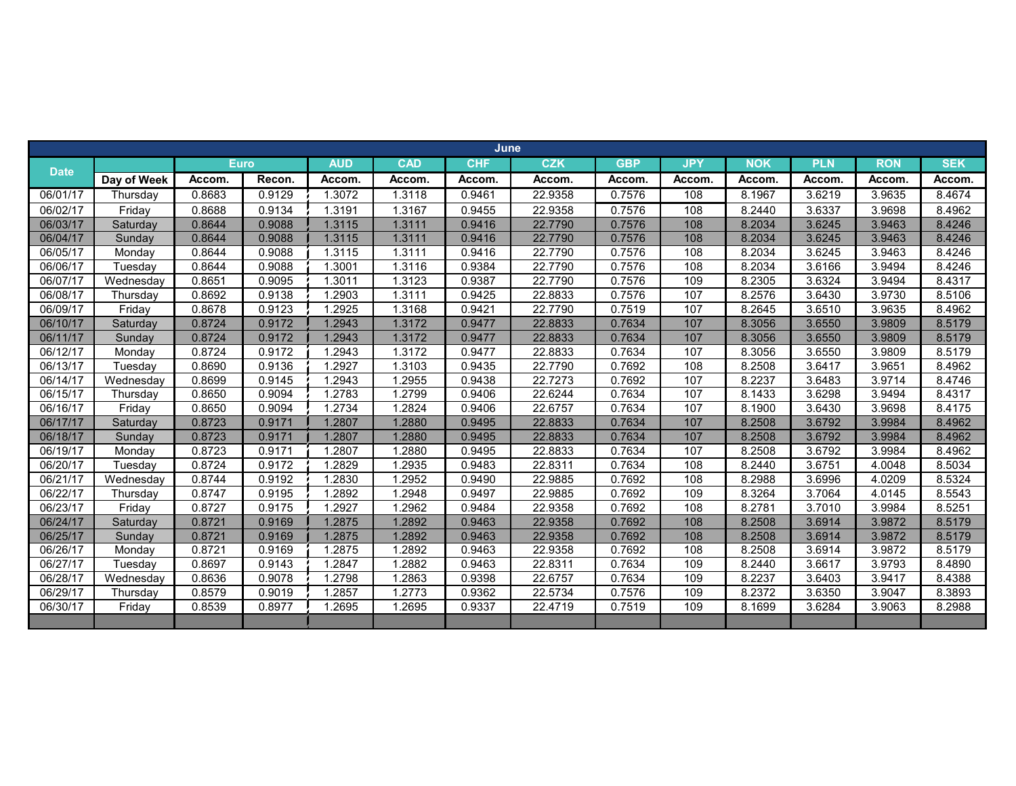|             | June        |             |        |            |            |            |            |            |            |            |            |            |            |
|-------------|-------------|-------------|--------|------------|------------|------------|------------|------------|------------|------------|------------|------------|------------|
| <b>Date</b> |             | <b>Euro</b> |        | <b>AUD</b> | <b>CAD</b> | <b>CHF</b> | <b>CZK</b> | <b>GBP</b> | <b>JPY</b> | <b>NOK</b> | <b>PLN</b> | <b>RON</b> | <b>SEK</b> |
|             | Day of Week | Accom.      | Recon. | Accom.     | Accom.     | Accom.     | Accom.     | Accom.     | Accom.     | Accom.     | Accom.     | Accom.     | Accom.     |
| 06/01/17    | Thursday    | 0.8683      | 0.9129 | 1.3072     | 1.3118     | 0.9461     | 22.9358    | 0.7576     | 108        | 8.1967     | 3.6219     | 3.9635     | 8.4674     |
| 06/02/17    | Friday      | 0.8688      | 0.9134 | 1.3191     | 1.3167     | 0.9455     | 22.9358    | 0.7576     | 108        | 8.2440     | 3.6337     | 3.9698     | 8.4962     |
| 06/03/17    | Saturday    | 0.8644      | 0.9088 | 1.3115     | 1.3111     | 0.9416     | 22.7790    | 0.7576     | 108        | 8.2034     | 3.6245     | 3.9463     | 8.4246     |
| 06/04/17    | Sunday      | 0.8644      | 0.9088 | 1.3115     | 1.3111     | 0.9416     | 22.7790    | 0.7576     | 108        | 8.2034     | 3.6245     | 3.9463     | 8.4246     |
| 06/05/17    | Monday      | 0.8644      | 0.9088 | 1.3115     | 1.3111     | 0.9416     | 22.7790    | 0.7576     | 108        | 8.2034     | 3.6245     | 3.9463     | 8.4246     |
| 06/06/17    | Tuesdav     | 0.8644      | 0.9088 | 1.3001     | 1.3116     | 0.9384     | 22.7790    | 0.7576     | 108        | 8.2034     | 3.6166     | 3.9494     | 8.4246     |
| 06/07/17    | Wednesday   | 0.8651      | 0.9095 | 1.3011     | 1.3123     | 0.9387     | 22.7790    | 0.7576     | 109        | 8.2305     | 3.6324     | 3.9494     | 8.4317     |
| 06/08/17    | Thursdav    | 0.8692      | 0.9138 | 1.2903     | 1.3111     | 0.9425     | 22.8833    | 0.7576     | 107        | 8.2576     | 3.6430     | 3.9730     | 8.5106     |
| 06/09/17    | Friday      | 0.8678      | 0.9123 | .2925      | 1.3168     | 0.9421     | 22.7790    | 0.7519     | 107        | 8.2645     | 3.6510     | 3.9635     | 8.4962     |
| 06/10/17    | Saturday    | 0.8724      | 0.9172 | 1.2943     | 1.3172     | 0.9477     | 22.8833    | 0.7634     | 107        | 8.3056     | 3.6550     | 3.9809     | 8.5179     |
| 06/11/17    | Sunday      | 0.8724      | 0.9172 | 1.2943     | 1.3172     | 0.9477     | 22.8833    | 0.7634     | 107        | 8.3056     | 3.6550     | 3.9809     | 8.5179     |
| 06/12/17    | Monday      | 0.8724      | 0.9172 | .2943      | 1.3172     | 0.9477     | 22.8833    | 0.7634     | 107        | 8.3056     | 3.6550     | 3.9809     | 8.5179     |
| 06/13/17    | Tuesday     | 0.8690      | 0.9136 | .2927      | 1.3103     | 0.9435     | 22.7790    | 0.7692     | 108        | 8.2508     | 3.6417     | 3.9651     | 8.4962     |
| 06/14/17    | Wednesday   | 0.8699      | 0.9145 | 1.2943     | 1.2955     | 0.9438     | 22.7273    | 0.7692     | 107        | 8.2237     | 3.6483     | 3.9714     | 8.4746     |
| 06/15/17    | Thursday    | 0.8650      | 0.9094 | 1.2783     | 1.2799     | 0.9406     | 22.6244    | 0.7634     | 107        | 8.1433     | 3.6298     | 3.9494     | 8.4317     |
| 06/16/17    | Friday      | 0.8650      | 0.9094 | 1.2734     | 1.2824     | 0.9406     | 22.6757    | 0.7634     | 107        | 8.1900     | 3.6430     | 3.9698     | 8.4175     |
| 06/17/17    | Saturday    | 0.8723      | 0.9171 | 1.2807     | 1.2880     | 0.9495     | 22.8833    | 0.7634     | 107        | 8.2508     | 3.6792     | 3.9984     | 8.4962     |
| 06/18/17    | Sunday      | 0.8723      | 0.9171 | 1.2807     | 1.2880     | 0.9495     | 22.8833    | 0.7634     | 107        | 8.2508     | 3.6792     | 3.9984     | 8.4962     |
| 06/19/17    | Monday      | 0.8723      | 0.9171 | 1.2807     | 1.2880     | 0.9495     | 22.8833    | 0.7634     | 107        | 8.2508     | 3.6792     | 3.9984     | 8.4962     |
| 06/20/17    | Tuesdav     | 0.8724      | 0.9172 | 1.2829     | 1.2935     | 0.9483     | 22.8311    | 0.7634     | 108        | 8.2440     | 3.6751     | 4.0048     | 8.5034     |
| 06/21/17    | Wednesday   | 0.8744      | 0.9192 | 1.2830     | 1.2952     | 0.9490     | 22.9885    | 0.7692     | 108        | 8.2988     | 3.6996     | 4.0209     | 8.5324     |
| 06/22/17    | Thursday    | 0.8747      | 0.9195 | .2892      | 1.2948     | 0.9497     | 22.9885    | 0.7692     | 109        | 8.3264     | 3.7064     | 4.0145     | 8.5543     |
| 06/23/17    | Friday      | 0.8727      | 0.9175 | .2927      | 1.2962     | 0.9484     | 22.9358    | 0.7692     | 108        | 8.2781     | 3.7010     | 3.9984     | 8.5251     |
| 06/24/17    | Saturday    | 0.8721      | 0.9169 | 1.2875     | 1.2892     | 0.9463     | 22.9358    | 0.7692     | 108        | 8.2508     | 3.6914     | 3.9872     | 8.5179     |
| 06/25/17    | Sunday      | 0.8721      | 0.9169 | 1.2875     | 1.2892     | 0.9463     | 22.9358    | 0.7692     | 108        | 8.2508     | 3.6914     | 3.9872     | 8.5179     |
| 06/26/17    | Monday      | 0.8721      | 0.9169 | 1.2875     | 1.2892     | 0.9463     | 22.9358    | 0.7692     | 108        | 8.2508     | 3.6914     | 3.9872     | 8.5179     |
| 06/27/17    | Tuesday     | 0.8697      | 0.9143 | 1.2847     | 1.2882     | 0.9463     | 22.8311    | 0.7634     | 109        | 8.2440     | 3.6617     | 3.9793     | 8.4890     |
| 06/28/17    | Wednesday   | 0.8636      | 0.9078 | 1.2798     | 1.2863     | 0.9398     | 22.6757    | 0.7634     | 109        | 8.2237     | 3.6403     | 3.9417     | 8.4388     |
| 06/29/17    | Thursday    | 0.8579      | 0.9019 | 1.2857     | 1.2773     | 0.9362     | 22.5734    | 0.7576     | 109        | 8.2372     | 3.6350     | 3.9047     | 8.3893     |
| 06/30/17    | Friday      | 0.8539      | 0.8977 | 1.2695     | 1.2695     | 0.9337     | 22.4719    | 0.7519     | 109        | 8.1699     | 3.6284     | 3.9063     | 8.2988     |
|             |             |             |        |            |            |            |            |            |            |            |            |            |            |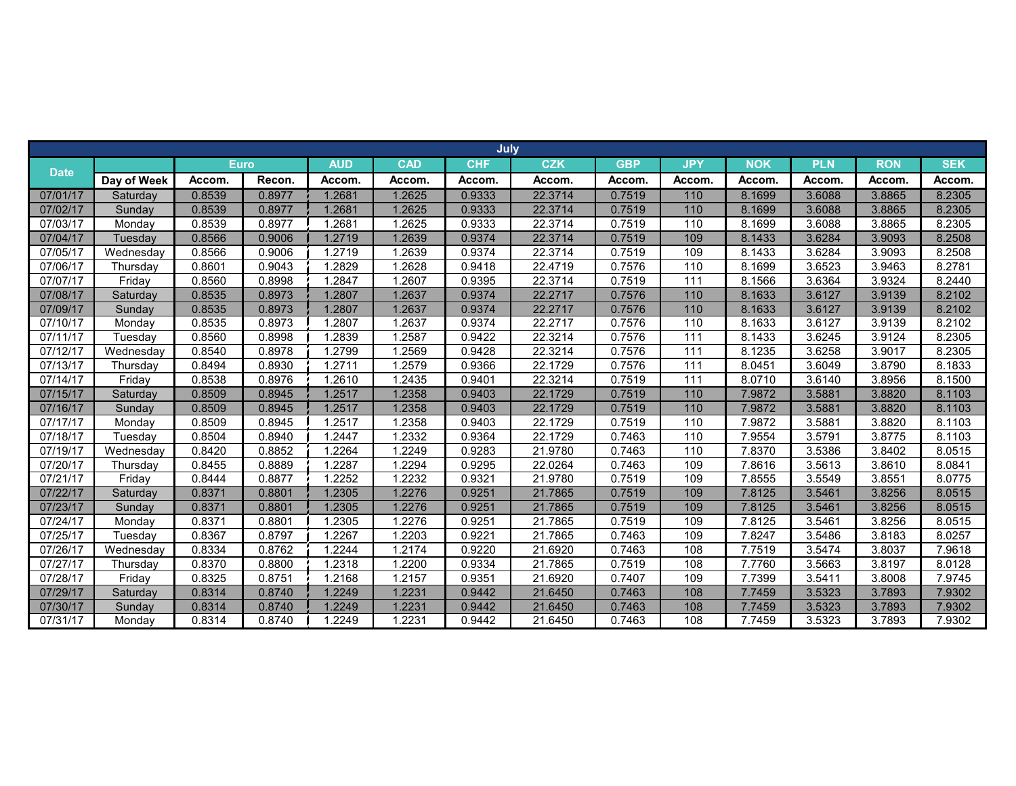|             | July<br><b>Euro</b> |        |        |            |            |            |            |            |            |            |            |            |            |
|-------------|---------------------|--------|--------|------------|------------|------------|------------|------------|------------|------------|------------|------------|------------|
|             |                     |        |        | <b>AUD</b> | <b>CAD</b> | <b>CHF</b> | <b>CZK</b> | <b>GBP</b> | <b>JPY</b> | <b>NOK</b> | <b>PLN</b> | <b>RON</b> | <b>SEK</b> |
| <b>Date</b> | Day of Week         | Accom. | Recon. | Accom.     | Accom.     | Accom.     | Accom.     | Accom.     | Accom.     | Accom.     | Accom.     | Accom.     | Accom.     |
| 07/01/17    | Saturday            | 0.8539 | 0.8977 | 1.2681     | 1.2625     | 0.9333     | 22.3714    | 0.7519     | 110        | 8.1699     | 3.6088     | 3.8865     | 8.2305     |
| 07/02/17    | Sunday              | 0.8539 | 0.8977 | 1.2681     | 1.2625     | 0.9333     | 22.3714    | 0.7519     | 110        | 8.1699     | 3.6088     | 3.8865     | 8.2305     |
| 07/03/17    | Monday              | 0.8539 | 0.8977 | 1.2681     | 1.2625     | 0.9333     | 22.3714    | 0.7519     | 110        | 8.1699     | 3.6088     | 3.8865     | 8.2305     |
| 07/04/17    | <b>Tuesday</b>      | 0.8566 | 0.9006 | 1.2719     | 1.2639     | 0.9374     | 22.3714    | 0.7519     | 109        | 8.1433     | 3.6284     | 3.9093     | 8.2508     |
| 07/05/17    | Wednesday           | 0.8566 | 0.9006 | 1.2719     | 1.2639     | 0.9374     | 22.3714    | 0.7519     | 109        | 8.1433     | 3.6284     | 3.9093     | 8.2508     |
| 07/06/17    | Thursday            | 0.8601 | 0.9043 | 1.2829     | 1.2628     | 0.9418     | 22.4719    | 0.7576     | 110        | 8.1699     | 3.6523     | 3.9463     | 8.2781     |
| 07/07/17    | Friday              | 0.8560 | 0.8998 | 1.2847     | .2607      | 0.9395     | 22.3714    | 0.7519     | 111        | 8.1566     | 3.6364     | 3.9324     | 8.2440     |
| 07/08/17    | Saturday            | 0.8535 | 0.8973 | 1.2807     | 1.2637     | 0.9374     | 22.2717    | 0.7576     | 110        | 8.1633     | 3.6127     | 3.9139     | 8.2102     |
| 07/09/17    | Sunday              | 0.8535 | 0.8973 | 1.2807     | 1.2637     | 0.9374     | 22.2717    | 0.7576     | 110        | 8.1633     | 3.6127     | 3.9139     | 8.2102     |
| 07/10/17    | Monday              | 0.8535 | 0.8973 | 1.2807     | 1.2637     | 0.9374     | 22.2717    | 0.7576     | 110        | 8.1633     | 3.6127     | 3.9139     | 8.2102     |
| 07/11/17    | Tuesday             | 0.8560 | 0.8998 | 1.2839     | 1.2587     | 0.9422     | 22.3214    | 0.7576     | 111        | 8.1433     | 3.6245     | 3.9124     | 8.2305     |
| 07/12/17    | Wednesday           | 0.8540 | 0.8978 | 1.2799     | 1.2569     | 0.9428     | 22.3214    | 0.7576     | 111        | 8.1235     | 3.6258     | 3.9017     | 8.2305     |
| 07/13/17    | Thursdav            | 0.8494 | 0.8930 | 1.2711     | .2579      | 0.9366     | 22.1729    | 0.7576     | 111        | 8.0451     | 3.6049     | 3.8790     | 8.1833     |
| 07/14/17    | Friday              | 0.8538 | 0.8976 | 1.2610     | 1.2435     | 0.9401     | 22.3214    | 0.7519     | 111        | 8.0710     | 3.6140     | 3.8956     | 8.1500     |
| 07/15/17    | Saturday            | 0.8509 | 0.8945 | 1.2517     | .2358      | 0.9403     | 22.1729    | 0.7519     | 110        | 7.9872     | 3.5881     | 3.8820     | 8.1103     |
| 07/16/17    | Sunday              | 0.8509 | 0.8945 | 1.2517     | 1.2358     | 0.9403     | 22.1729    | 0.7519     | 110        | 7.9872     | 3.5881     | 3.8820     | 8.1103     |
| 07/17/17    | Monday              | 0.8509 | 0.8945 | 1.2517     | 1.2358     | 0.9403     | 22.1729    | 0.7519     | 110        | 7.9872     | 3.5881     | 3.8820     | 8.1103     |
| 07/18/17    | Tuesday             | 0.8504 | 0.8940 | 1.2447     | .2332      | 0.9364     | 22.1729    | 0.7463     | 110        | 7.9554     | 3.5791     | 3.8775     | 8.1103     |
| 07/19/17    | Wednesday           | 0.8420 | 0.8852 | 1.2264     | 1.2249     | 0.9283     | 21.9780    | 0.7463     | 110        | 7.8370     | 3.5386     | 3.8402     | 8.0515     |
| 07/20/17    | Thursday            | 0.8455 | 0.8889 | 1.2287     | 1.2294     | 0.9295     | 22.0264    | 0.7463     | 109        | 7.8616     | 3.5613     | 3.8610     | 8.0841     |
| 07/21/17    | Friday              | 0.8444 | 0.8877 | .2252      | .2232      | 0.9321     | 21.9780    | 0.7519     | 109        | 7.8555     | 3.5549     | 3.8551     | 8.0775     |
| 07/22/17    | Saturday            | 0.8371 | 0.8801 | 1.2305     | 1.2276     | 0.9251     | 21.7865    | 0.7519     | 109        | 7.8125     | 3.5461     | 3.8256     | 8.0515     |
| 07/23/17    | Sunday              | 0.8371 | 0.8801 | 1.2305     | 1.2276     | 0.9251     | 21.7865    | 0.7519     | 109        | 7.8125     | 3.5461     | 3.8256     | 8.0515     |
| 07/24/17    | Monday              | 0.8371 | 0.8801 | 1.2305     | 1.2276     | 0.9251     | 21.7865    | 0.7519     | 109        | 7.8125     | 3.5461     | 3.8256     | 8.0515     |
| 07/25/17    | Tuesday             | 0.8367 | 0.8797 | 1.2267     | 1.2203     | 0.9221     | 21.7865    | 0.7463     | 109        | 7.8247     | 3.5486     | 3.8183     | 8.0257     |
| 07/26/17    | Wednesday           | 0.8334 | 0.8762 | 1.2244     | 1.2174     | 0.9220     | 21.6920    | 0.7463     | 108        | 7.7519     | 3.5474     | 3.8037     | 7.9618     |
| 07/27/17    | Thursday            | 0.8370 | 0.8800 | 1.2318     | 1.2200     | 0.9334     | 21.7865    | 0.7519     | 108        | 7.7760     | 3.5663     | 3.8197     | 8.0128     |
| 07/28/17    | Friday              | 0.8325 | 0.8751 | 1.2168     | 1.2157     | 0.9351     | 21.6920    | 0.7407     | 109        | 7.7399     | 3.5411     | 3.8008     | 7.9745     |
| 07/29/17    | Saturday            | 0.8314 | 0.8740 | 1.2249     | 1.2231     | 0.9442     | 21.6450    | 0.7463     | 108        | 7.7459     | 3.5323     | 3.7893     | 7.9302     |
| 07/30/17    | Sunday              | 0.8314 | 0.8740 | 1.2249     | 1.2231     | 0.9442     | 21.6450    | 0.7463     | 108        | 7.7459     | 3.5323     | 3.7893     | 7.9302     |
| 07/31/17    | Monday              | 0.8314 | 0.8740 | 1.2249     | 1.2231     | 0.9442     | 21.6450    | 0.7463     | 108        | 7.7459     | 3.5323     | 3.7893     | 7.9302     |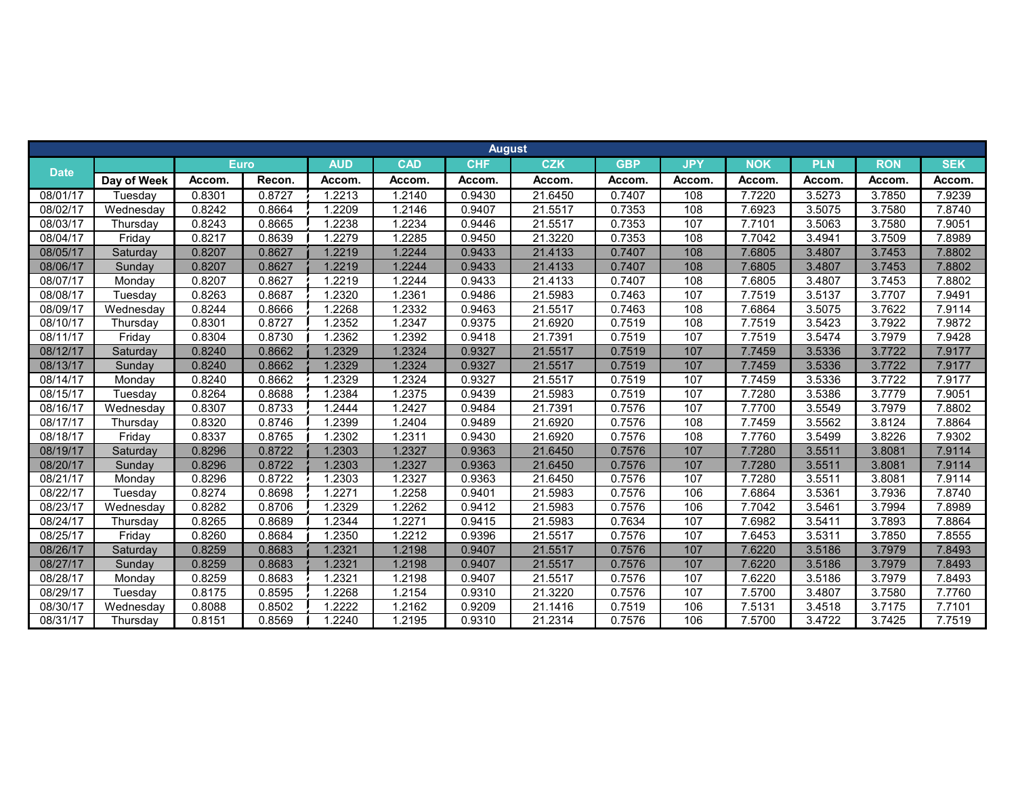|             |             |             |        |            |            | <b>August</b> |            |            |            |            |            |            |            |
|-------------|-------------|-------------|--------|------------|------------|---------------|------------|------------|------------|------------|------------|------------|------------|
|             |             | <b>Euro</b> |        | <b>AUD</b> | <b>CAD</b> | <b>CHF</b>    | <b>CZK</b> | <b>GBP</b> | <b>JPY</b> | <b>NOK</b> | <b>PLN</b> | <b>RON</b> | <b>SEK</b> |
| <b>Date</b> | Day of Week | Accom.      | Recon. | Accom.     | Accom.     | Accom.        | Accom.     | Accom.     | Accom.     | Accom.     | Accom      | Accom.     | Accom.     |
| 08/01/17    | Tuesday     | 0.8301      | 0.8727 | 1.2213     | 1.2140     | 0.9430        | 21.6450    | 0.7407     | 108        | 7.7220     | 3.5273     | 3.7850     | 7.9239     |
| 08/02/17    | Wednesdav   | 0.8242      | 0.8664 | .2209      | 1.2146     | 0.9407        | 21.5517    | 0.7353     | 108        | 7.6923     | 3.5075     | 3.7580     | 7.8740     |
| 08/03/17    | Thursday    | 0.8243      | 0.8665 | .2238      | .2234      | 0.9446        | 21.5517    | 0.7353     | 107        | 7.7101     | 3.5063     | 3.7580     | 7.9051     |
| 08/04/17    | Friday      | 0.8217      | 0.8639 | 1.2279     | 1.2285     | 0.9450        | 21.3220    | 0.7353     | 108        | 7.7042     | 3.4941     | 3.7509     | 7.8989     |
| 08/05/17    | Saturday    | 0.8207      | 0.8627 | 1.2219     | 1.2244     | 0.9433        | 21.4133    | 0.7407     | 108        | 7.6805     | 3.4807     | 3.7453     | 7.8802     |
| 08/06/17    | Sundav      | 0.8207      | 0.8627 | 1.2219     | 1.2244     | 0.9433        | 21.4133    | 0.7407     | 108        | 7.6805     | 3.4807     | 3.7453     | 7.8802     |
| 08/07/17    | Mondav      | 0.8207      | 0.8627 | 1.2219     | 1.2244     | 0.9433        | 21.4133    | 0.7407     | 108        | 7.6805     | 3.4807     | 3.7453     | 7.8802     |
| 08/08/17    | Tuesday     | 0.8263      | 0.8687 | 1.2320     | .2361      | 0.9486        | 21.5983    | 0.7463     | 107        | 7.7519     | 3.5137     | 3.7707     | 7.9491     |
| 08/09/17    | Wednesday   | 0.8244      | 0.8666 | 1.2268     | .2332      | 0.9463        | 21.5517    | 0.7463     | 108        | 7.6864     | 3.5075     | 3.7622     | 7.9114     |
| 08/10/17    | Thursday    | 0.8301      | 0.8727 | 1.2352     | 1.2347     | 0.9375        | 21.6920    | 0.7519     | 108        | 7.7519     | 3.5423     | 3.7922     | 7.9872     |
| 08/11/17    | Fridav      | 0.8304      | 0.8730 | 1.2362     | 1.2392     | 0.9418        | 21.7391    | 0.7519     | 107        | 7.7519     | 3.5474     | 3.7979     | 7.9428     |
| 08/12/17    | Saturday    | 0.8240      | 0.8662 | 1.2329     | 1.2324     | 0.9327        | 21.5517    | 0.7519     | 107        | 7.7459     | 3.5336     | 3.7722     | 7.9177     |
| 08/13/17    | Sunday      | 0.8240      | 0.8662 | 1.2329     | 1.2324     | 0.9327        | 21.5517    | 0.7519     | 107        | 7.7459     | 3.5336     | 3.7722     | 7.9177     |
| 08/14/17    | Monday      | 0.8240      | 0.8662 | 1.2329     | 1.2324     | 0.9327        | 21.5517    | 0.7519     | 107        | 7.7459     | 3.5336     | 3.7722     | 7.9177     |
| 08/15/17    | Tuesday     | 0.8264      | 0.8688 | 1.2384     | 1.2375     | 0.9439        | 21.5983    | 0.7519     | 107        | 7.7280     | 3.5386     | 3.7779     | 7.9051     |
| 08/16/17    | Wednesday   | 0.8307      | 0.8733 | 1.2444     | 1.2427     | 0.9484        | 21.7391    | 0.7576     | 107        | 7.7700     | 3.5549     | 3.7979     | 7.8802     |
| 08/17/17    | Thursday    | 0.8320      | 0.8746 | 1.2399     | 1.2404     | 0.9489        | 21.6920    | 0.7576     | 108        | 7.7459     | 3.5562     | 3.8124     | 7.8864     |
| 08/18/17    | Fridav      | 0.8337      | 0.8765 | 1.2302     | 1.2311     | 0.9430        | 21.6920    | 0.7576     | 108        | 7.7760     | 3.5499     | 3.8226     | 7.9302     |
| 08/19/17    | Saturday    | 0.8296      | 0.8722 | 1.2303     | 1.2327     | 0.9363        | 21.6450    | 0.7576     | 107        | 7.7280     | 3.5511     | 3.8081     | 7.9114     |
| 08/20/17    | Sundav      | 0.8296      | 0.8722 | 1.2303     | 1.2327     | 0.9363        | 21.6450    | 0.7576     | 107        | 7.7280     | 3.5511     | 3.8081     | 7.9114     |
| 08/21/17    | Monday      | 0.8296      | 0.8722 | 1.2303     | 1.2327     | 0.9363        | 21.6450    | 0.7576     | 107        | 7.7280     | 3.5511     | 3.8081     | 7.9114     |
| 08/22/17    | Tuesdav     | 0.8274      | 0.8698 | 1.2271     | 1.2258     | 0.9401        | 21.5983    | 0.7576     | 106        | 7.6864     | 3.5361     | 3.7936     | 7.8740     |
| 08/23/17    | Wednesdav   | 0.8282      | 0.8706 | 1.2329     | 1.2262     | 0.9412        | 21.5983    | 0.7576     | 106        | 7.7042     | 3.5461     | 3.7994     | 7.8989     |
| 08/24/17    | Thursday    | 0.8265      | 0.8689 | 1.2344     | .2271      | 0.9415        | 21.5983    | 0.7634     | 107        | 7.6982     | 3.5411     | 3.7893     | 7.8864     |
| 08/25/17    | Fridav      | 0.8260      | 0.8684 | 1.2350     | .2212      | 0.9396        | 21.5517    | 0.7576     | 107        | 7.6453     | 3.5311     | 3.7850     | 7.8555     |
| 08/26/17    | Saturday    | 0.8259      | 0.8683 | 1.2321     | 1.2198     | 0.9407        | 21.5517    | 0.7576     | 107        | 7.6220     | 3.5186     | 3.7979     | 7.8493     |
| 08/27/17    | Sunday      | 0.8259      | 0.8683 | 1.2321     | 1.2198     | 0.9407        | 21.5517    | 0.7576     | 107        | 7.6220     | 3.5186     | 3.7979     | 7.8493     |
| 08/28/17    | Monday      | 0.8259      | 0.8683 | 1.2321     | 1.2198     | 0.9407        | 21.5517    | 0.7576     | 107        | 7.6220     | 3.5186     | 3.7979     | 7.8493     |
| 08/29/17    | Tuesday     | 0.8175      | 0.8595 | 1.2268     | 1.2154     | 0.9310        | 21.3220    | 0.7576     | 107        | 7.5700     | 3.4807     | 3.7580     | 7.7760     |
| 08/30/17    | Wednesday   | 0.8088      | 0.8502 | 1.2222     | 1.2162     | 0.9209        | 21.1416    | 0.7519     | 106        | 7.5131     | 3.4518     | 3.7175     | 7.7101     |
| 08/31/17    | Thursday    | 0.8151      | 0.8569 | 1.2240     | 1.2195     | 0.9310        | 21.2314    | 0.7576     | 106        | 7.5700     | 3.4722     | 3.7425     | 7.7519     |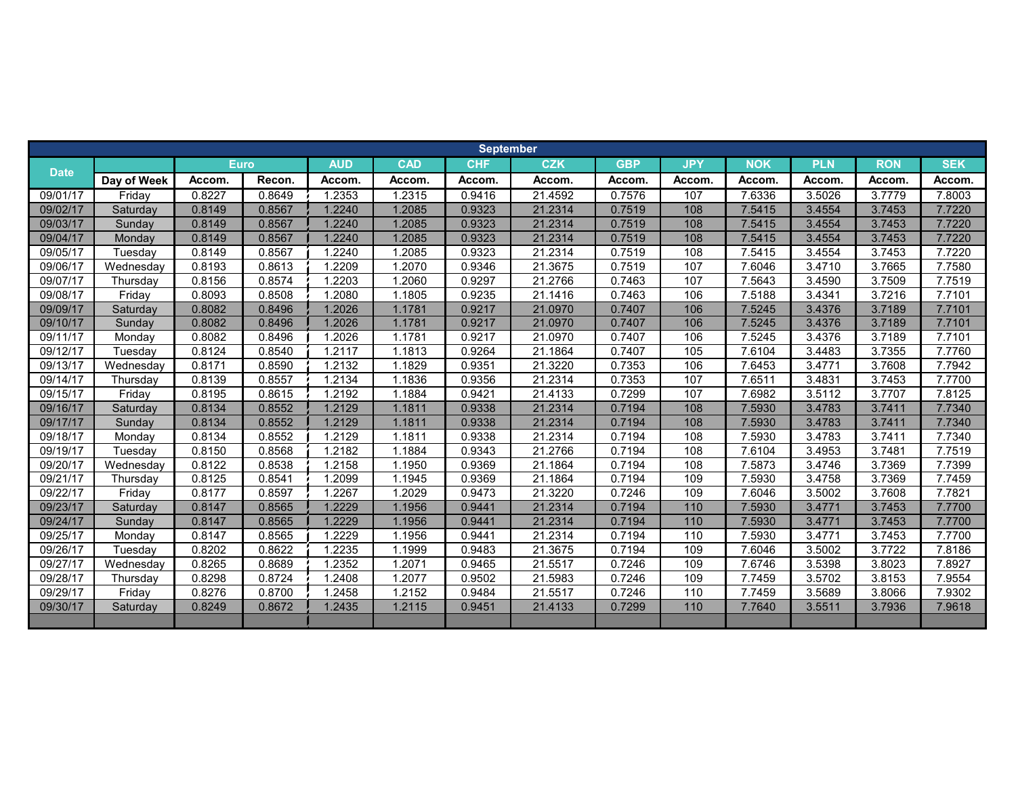|             |             |             |        |            |            | <b>September</b> |            |            |            |            |            |            |            |
|-------------|-------------|-------------|--------|------------|------------|------------------|------------|------------|------------|------------|------------|------------|------------|
|             |             | <b>Euro</b> |        | <b>AUD</b> | <b>CAD</b> | <b>CHF</b>       | <b>CZK</b> | <b>GBP</b> | <b>JPY</b> | <b>NOK</b> | <b>PLN</b> | <b>RON</b> | <b>SEK</b> |
| <b>Date</b> | Day of Week | Accom.      | Recon. | Accom.     | Accom.     | Accom.           | Accom.     | Accom.     | Accom.     | Accom.     | Accom.     | Accom.     | Accom.     |
| 09/01/17    | Fridav      | 0.8227      | 0.8649 | 1.2353     | 1.2315     | 0.9416           | 21.4592    | 0.7576     | 107        | 7.6336     | 3.5026     | 3.7779     | 7.8003     |
| 09/02/17    | Saturday    | 0.8149      | 0.8567 | 1.2240     | 1.2085     | 0.9323           | 21.2314    | 0.7519     | 108        | 7.5415     | 3.4554     | 3.7453     | 7.7220     |
| 09/03/17    | Sunday      | 0.8149      | 0.8567 | 1.2240     | 1.2085     | 0.9323           | 21.2314    | 0.7519     | 108        | 7.5415     | 3.4554     | 3.7453     | 7.7220     |
| 09/04/17    | Monday      | 0.8149      | 0.8567 | 1.2240     | 1.2085     | 0.9323           | 21.2314    | 0.7519     | 108        | 7.5415     | 3.4554     | 3.7453     | 7.7220     |
| 09/05/17    | Tuesdav     | 0.8149      | 0.8567 | 1.2240     | 1.2085     | 0.9323           | 21.2314    | 0.7519     | 108        | 7.5415     | 3.4554     | 3.7453     | 7.7220     |
| 09/06/17    | Wednesday   | 0.8193      | 0.8613 | 1.2209     | 1.2070     | 0.9346           | 21.3675    | 0.7519     | 107        | 7.6046     | 3.4710     | 3.7665     | 7.7580     |
| 09/07/17    | Thursday    | 0.8156      | 0.8574 | 1.2203     | 1.2060     | 0.9297           | 21.2766    | 0.7463     | 107        | 7.5643     | 3.4590     | 3.7509     | 7.7519     |
| 09/08/17    | Fridav      | 0.8093      | 0.8508 | 1.2080     | 1.1805     | 0.9235           | 21.1416    | 0.7463     | 106        | 7.5188     | 3.4341     | 3.7216     | 7.7101     |
| 09/09/17    | Saturday    | 0.8082      | 0.8496 | 1.2026     | 1.1781     | 0.9217           | 21.0970    | 0.7407     | 106        | 7.5245     | 3.4376     | 3.7189     | 7.7101     |
| 09/10/17    | Sunday      | 0.8082      | 0.8496 | 1.2026     | 1.1781     | 0.9217           | 21.0970    | 0.7407     | 106        | 7.5245     | 3.4376     | 3.7189     | 7.7101     |
| 09/11/17    | Monday      | 0.8082      | 0.8496 | 1.2026     | 1.1781     | 0.9217           | 21.0970    | 0.7407     | 106        | 7.5245     | 3.4376     | 3.7189     | 7.7101     |
| 09/12/17    | Tuesdav     | 0.8124      | 0.8540 | 1.2117     | 1.1813     | 0.9264           | 21.1864    | 0.7407     | 105        | 7.6104     | 3.4483     | 3.7355     | 7.7760     |
| 09/13/17    | Wednesday   | 0.8171      | 0.8590 | 1.2132     | 1.1829     | 0.9351           | 21.3220    | 0.7353     | 106        | 7.6453     | 3.4771     | 3.7608     | 7.7942     |
| 09/14/17    | Thursdav    | 0.8139      | 0.8557 | 1.2134     | 1.1836     | 0.9356           | 21.2314    | 0.7353     | 107        | 7.6511     | 3.4831     | 3.7453     | 7.7700     |
| 09/15/17    | Fridav      | 0.8195      | 0.8615 | 1.2192     | 1.1884     | 0.9421           | 21.4133    | 0.7299     | 107        | 7.6982     | 3.5112     | 3.7707     | 7.8125     |
| 09/16/17    | Saturday    | 0.8134      | 0.8552 | 1.2129     | 1.1811     | 0.9338           | 21.2314    | 0.7194     | 108        | 7.5930     | 3.4783     | 3.7411     | 7.7340     |
| 09/17/17    | Sunday      | 0.8134      | 0.8552 | 1.2129     | 1.1811     | 0.9338           | 21.2314    | 0.7194     | 108        | 7.5930     | 3.4783     | 3.7411     | 7.7340     |
| 09/18/17    | Monday      | 0.8134      | 0.8552 | 1.2129     | 1.1811     | 0.9338           | 21.2314    | 0.7194     | 108        | 7.5930     | 3.4783     | 3.7411     | 7.7340     |
| 09/19/17    | Tuesday     | 0.8150      | 0.8568 | 1.2182     | 1.1884     | 0.9343           | 21.2766    | 0.7194     | 108        | 7.6104     | 3.4953     | 3.7481     | 7.7519     |
| 09/20/17    | Wednesday   | 0.8122      | 0.8538 | 1.2158     | 1.1950     | 0.9369           | 21.1864    | 0.7194     | 108        | 7.5873     | 3.4746     | 3.7369     | 7.7399     |
| 09/21/17    | Thursday    | 0.8125      | 0.8541 | 1.2099     | 1.1945     | 0.9369           | 21.1864    | 0.7194     | 109        | 7.5930     | 3.4758     | 3.7369     | 7.7459     |
| 09/22/17    | Fridav      | 0.8177      | 0.8597 | .2267      | 1.2029     | 0.9473           | 21.3220    | 0.7246     | 109        | 7.6046     | 3.5002     | 3.7608     | 7.7821     |
| 09/23/17    | Saturday    | 0.8147      | 0.8565 | 1.2229     | 1.1956     | 0.9441           | 21.2314    | 0.7194     | 110        | 7.5930     | 3.4771     | 3.7453     | 7.7700     |
| 09/24/17    | Sunday      | 0.8147      | 0.8565 | 1.2229     | 1.1956     | 0.9441           | 21.2314    | 0.7194     | 110        | 7.5930     | 3.4771     | 3.7453     | 7.7700     |
| 09/25/17    | Monday      | 0.8147      | 0.8565 | 1.2229     | 1.1956     | 0.9441           | 21.2314    | 0.7194     | 110        | 7.5930     | 3.4771     | 3.7453     | 7.7700     |
| 09/26/17    | Tuesday     | 0.8202      | 0.8622 | 1.2235     | 1.1999     | 0.9483           | 21.3675    | 0.7194     | 109        | 7.6046     | 3.5002     | 3.7722     | 7.8186     |
| 09/27/17    | Wednesday   | 0.8265      | 0.8689 | 1.2352     | 1.2071     | 0.9465           | 21.5517    | 0.7246     | 109        | 7.6746     | 3.5398     | 3.8023     | 7.8927     |
| 09/28/17    | Thursday    | 0.8298      | 0.8724 | 1.2408     | 1.2077     | 0.9502           | 21.5983    | 0.7246     | 109        | 7.7459     | 3.5702     | 3.8153     | 7.9554     |
| 09/29/17    | Fridav      | 0.8276      | 0.8700 | 1.2458     | 1.2152     | 0.9484           | 21.5517    | 0.7246     | 110        | 7.7459     | 3.5689     | 3.8066     | 7.9302     |
| 09/30/17    | Saturday    | 0.8249      | 0.8672 | 1.2435     | 1.2115     | 0.9451           | 21.4133    | 0.7299     | 110        | 7.7640     | 3.5511     | 3.7936     | 7.9618     |
|             |             |             |        |            |            |                  |            |            |            |            |            |            |            |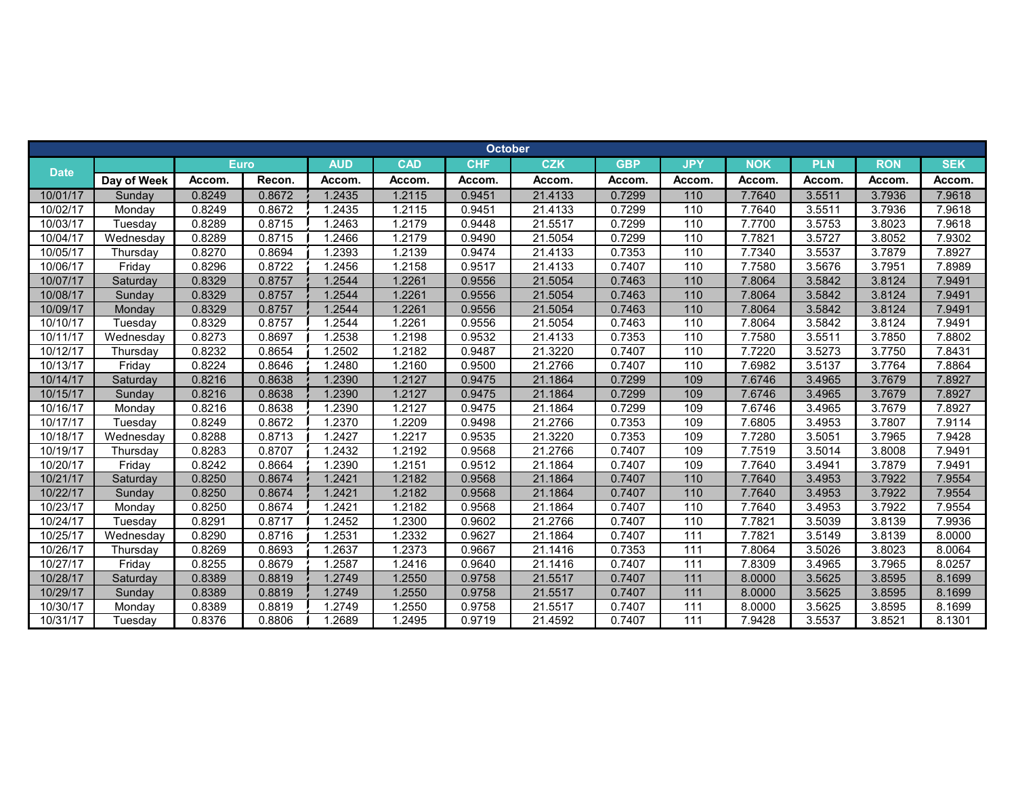|                       |             |             |        |            |            | <b>October</b> |            |            |            |            |            |            |            |
|-----------------------|-------------|-------------|--------|------------|------------|----------------|------------|------------|------------|------------|------------|------------|------------|
|                       |             | <b>Euro</b> |        | <b>AUD</b> | <b>CAD</b> | <b>CHF</b>     | <b>CZK</b> | <b>GBP</b> | <b>JPY</b> | <b>NOK</b> | <b>PLN</b> | <b>RON</b> | <b>SEK</b> |
| <b>Date</b>           | Day of Week | Accom.      | Recon. | Accom.     | Accom.     | Accom.         | Accom.     | Accom.     | Accom.     | Accom.     | Accom.     | Accom.     | Accom.     |
| 10/01/17              | Sunday      | 0.8249      | 0.8672 | 1.2435     | 1.2115     | 0.9451         | 21.4133    | 0.7299     | $110$      | 7.7640     | 3.5511     | 3.7936     | 7.9618     |
| 10/02/17              | Monday      | 0.8249      | 0.8672 | 1.2435     | 1.2115     | 0.9451         | 21.4133    | 0.7299     | 110        | 7.7640     | 3.5511     | 3.7936     | 7.9618     |
| 10/03/17              | Tuesday     | 0.8289      | 0.8715 | .2463      | 1.2179     | 0.9448         | 21.5517    | 0.7299     | 110        | 7.7700     | 3.5753     | 3.8023     | 7.9618     |
| 10/04/17              | Wednesday   | 0.8289      | 0.8715 | 1.2466     | 1.2179     | 0.9490         | 21.5054    | 0.7299     | 110        | 7.7821     | 3.5727     | 3.8052     | 7.9302     |
| 10/05/17              | Thursday    | 0.8270      | 0.8694 | 1.2393     | 1.2139     | 0.9474         | 21.4133    | 0.7353     | 110        | 7.7340     | 3.5537     | 3.7879     | 7.8927     |
| 10/06/17              | Friday      | 0.8296      | 0.8722 | 1.2456     | 1.2158     | 0.9517         | 21.4133    | 0.7407     | 110        | 7.7580     | 3.5676     | 3.7951     | 7.8989     |
| 10/07/17              | Saturday    | 0.8329      | 0.8757 | 1.2544     | 1.2261     | 0.9556         | 21.5054    | 0.7463     | 110        | 7.8064     | 3.5842     | 3.8124     | 7.9491     |
| 10/08/17              | Sunday      | 0.8329      | 0.8757 | 1.2544     | 1.2261     | 0.9556         | 21.5054    | 0.7463     | 110        | 7.8064     | 3.5842     | 3.8124     | 7.9491     |
| 10/09/17              | Monday      | 0.8329      | 0.8757 | 1.2544     | 1.2261     | 0.9556         | 21.5054    | 0.7463     | 110        | 7.8064     | 3.5842     | 3.8124     | 7.9491     |
| 10/10/17              | Tuesday     | 0.8329      | 0.8757 | 1.2544     | 1.2261     | 0.9556         | 21.5054    | 0.7463     | 110        | 7.8064     | 3.5842     | 3.8124     | 7.9491     |
| 10/11/17              | Wednesday   | 0.8273      | 0.8697 | 1.2538     | 1.2198     | 0.9532         | 21.4133    | 0.7353     | 110        | 7.7580     | 3.5511     | 3.7850     | 7.8802     |
| 10/12/17              | Thursday    | 0.8232      | 0.8654 | 1.2502     | 1.2182     | 0.9487         | 21.3220    | 0.7407     | 110        | 7.7220     | 3.5273     | 3.7750     | 7.8431     |
| 10/13/17              | Friday      | 0.8224      | 0.8646 | 1.2480     | 1.2160     | 0.9500         | 21.2766    | 0.7407     | 110        | 7.6982     | 3.5137     | 3.7764     | 7.8864     |
| 10/14/17              | Saturday    | 0.8216      | 0.8638 | 1.2390     | 1.2127     | 0.9475         | 21.1864    | 0.7299     | 109        | 7.6746     | 3.4965     | 3.7679     | 7.8927     |
| 10/15/17              | Sunday      | 0.8216      | 0.8638 | 1.2390     | 1.2127     | 0.9475         | 21.1864    | 0.7299     | 109        | 7.6746     | 3.4965     | 3.7679     | 7.8927     |
| 10/16/17              | Monday      | 0.8216      | 0.8638 | 1.2390     | 1.2127     | 0.9475         | 21.1864    | 0.7299     | 109        | 7.6746     | 3.4965     | 3.7679     | 7.8927     |
| 10/17/17              | Tuesday     | 0.8249      | 0.8672 | .2370      | .2209      | 0.9498         | 21.2766    | 0.7353     | 109        | 7.6805     | 3.4953     | 3.7807     | 7.9114     |
| 10/18/17              | Wednesday   | 0.8288      | 0.8713 | 1.2427     | 1.2217     | 0.9535         | 21.3220    | 0.7353     | 109        | 7.7280     | 3.5051     | 3.7965     | 7.9428     |
| 10/19/17              | Thursday    | 0.8283      | 0.8707 | 1.2432     | 1.2192     | 0.9568         | 21.2766    | 0.7407     | 109        | 7.7519     | 3.5014     | 3.8008     | 7.9491     |
| 10/20/17              | Fridav      | 0.8242      | 0.8664 | .2390      | 1.2151     | 0.9512         | 21.1864    | 0.7407     | 109        | 7.7640     | 3.4941     | 3.7879     | 7.9491     |
| 10/21/17              | Saturday    | 0.8250      | 0.8674 | 1.2421     | 1.2182     | 0.9568         | 21.1864    | 0.7407     | 110        | 7.7640     | 3.4953     | 3.7922     | 7.9554     |
| 10/22/17              | Sunday      | 0.8250      | 0.8674 | 1.2421     | 1.2182     | 0.9568         | 21.1864    | 0.7407     | 110        | 7.7640     | 3.4953     | 3.7922     | 7.9554     |
| 10/23/17              | Monday      | 0.8250      | 0.8674 | 1.2421     | 1.2182     | 0.9568         | 21.1864    | 0.7407     | 110        | 7.7640     | 3.4953     | 3.7922     | 7.9554     |
| 10/24/17              | Tuesday     | 0.8291      | 0.8717 | 1.2452     | .2300      | 0.9602         | 21.2766    | 0.7407     | 110        | 7.7821     | 3.5039     | 3.8139     | 7.9936     |
| 10/25/17              | Wednesday   | 0.8290      | 0.8716 | 1.2531     | 1.2332     | 0.9627         | 21.1864    | 0.7407     | 111        | 7.7821     | 3.5149     | 3.8139     | 8.0000     |
| 10/26/17              | Thursday    | 0.8269      | 0.8693 | 1.2637     | 1.2373     | 0.9667         | 21.1416    | 0.7353     | 111        | 7.8064     | 3.5026     | 3.8023     | 8.0064     |
| $\overline{10/27/17}$ | Friday      | 0.8255      | 0.8679 | 1.2587     | 1.2416     | 0.9640         | 21.1416    | 0.7407     | 111        | 7.8309     | 3.4965     | 3.7965     | 8.0257     |
| 10/28/17              | Saturday    | 0.8389      | 0.8819 | 1.2749     | 1.2550     | 0.9758         | 21.5517    | 0.7407     | 111        | 8.0000     | 3.5625     | 3.8595     | 8.1699     |
| 10/29/17              | Sunday      | 0.8389      | 0.8819 | 1.2749     | 1.2550     | 0.9758         | 21.5517    | 0.7407     | 111        | 8.0000     | 3.5625     | 3.8595     | 8.1699     |
| 10/30/17              | Monday      | 0.8389      | 0.8819 | 1.2749     | 1.2550     | 0.9758         | 21.5517    | 0.7407     | 111        | 8.0000     | 3.5625     | 3.8595     | 8.1699     |
| 10/31/17              | Tuesday     | 0.8376      | 0.8806 | 1.2689     | 1.2495     | 0.9719         | 21.4592    | 0.7407     | 111        | 7.9428     | 3.5537     | 3.8521     | 8.1301     |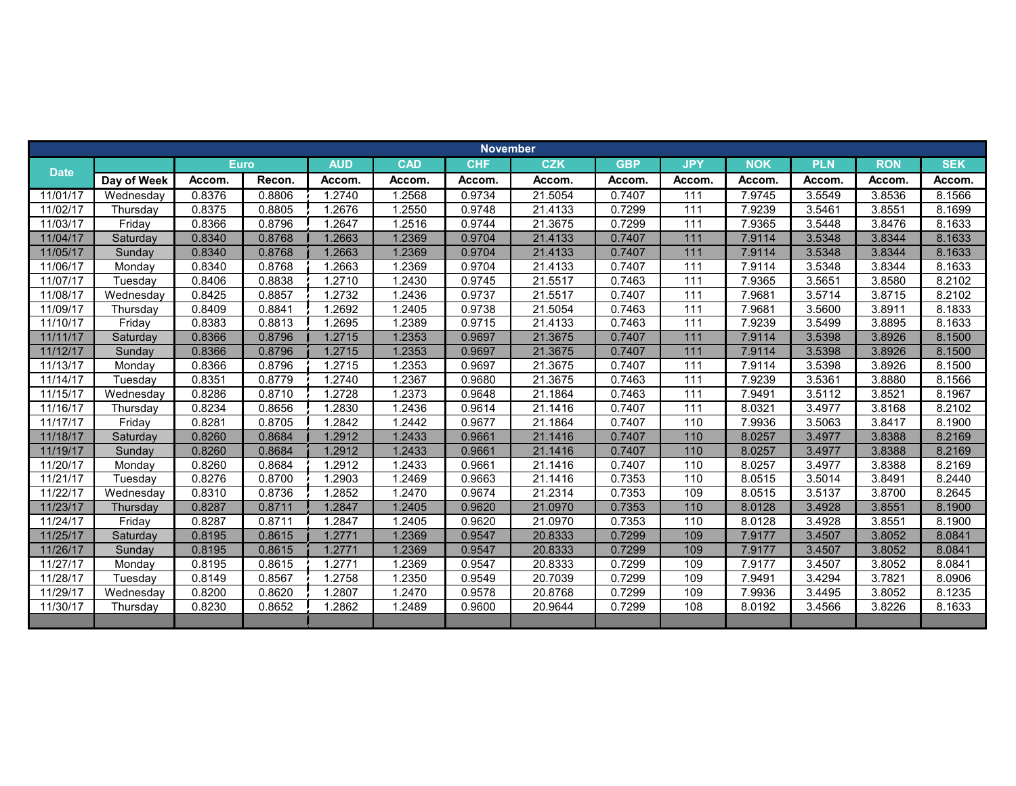|             |             |             |        |            |            | <b>November</b> |            |            |                   |            |            |            |            |
|-------------|-------------|-------------|--------|------------|------------|-----------------|------------|------------|-------------------|------------|------------|------------|------------|
| <b>Date</b> |             | <b>Euro</b> |        | <b>AUD</b> | <b>CAD</b> | <b>CHF</b>      | <b>CZK</b> | <b>GBP</b> | <b>JPY</b>        | <b>NOK</b> | <b>PLN</b> | <b>RON</b> | <b>SEK</b> |
|             | Day of Week | Accom.      | Recon. | Accom.     | Accom.     | Accom.          | Accom.     | Accom.     | Accom.            | Accom.     | Accom.     | Accom.     | Accom.     |
| 11/01/17    | Wednesday   | 0.8376      | 0.8806 | 1.2740     | 1.2568     | 0.9734          | 21.5054    | 0.7407     | 111               | 7.9745     | 3.5549     | 3.8536     | 8.1566     |
| 11/02/17    | Thursday    | 0.8375      | 0.8805 | 1.2676     | 1.2550     | 0.9748          | 21.4133    | 0.7299     | 111               | 7.9239     | 3.5461     | 3.8551     | 8.1699     |
| 11/03/17    | Friday      | 0.8366      | 0.8796 | .2647      | 1.2516     | 0.9744          | 21.3675    | 0.7299     | 111               | 7.9365     | 3.5448     | 3.8476     | 8.1633     |
| 11/04/17    | Saturday    | 0.8340      | 0.8768 | 1.2663     | 1.2369     | 0.9704          | 21.4133    | 0.7407     | $111$             | 7.9114     | 3.5348     | 3.8344     | 8.1633     |
| 11/05/17    | Sunday      | 0.8340      | 0.8768 | 1.2663     | 1.2369     | 0.9704          | 21.4133    | 0.7407     | 111               | 7.9114     | 3.5348     | 3.8344     | 8.1633     |
| 11/06/17    | Monday      | 0.8340      | 0.8768 | .2663      | 1.2369     | 0.9704          | 21.4133    | 0.7407     | $\frac{111}{111}$ | 7.9114     | 3.5348     | 3.8344     | 8.1633     |
| 11/07/17    | Tuesday     | 0.8406      | 0.8838 | 1.2710     | 1.2430     | 0.9745          | 21.5517    | 0.7463     | 111               | 7.9365     | 3.5651     | 3.8580     | 8.2102     |
| 11/08/17    | Wednesday   | 0.8425      | 0.8857 | 1.2732     | 1.2436     | 0.9737          | 21.5517    | 0.7407     | 111               | 7.9681     | 3.5714     | 3.8715     | 8.2102     |
| 11/09/17    | Thursday    | 0.8409      | 0.8841 | .2692      | 1.2405     | 0.9738          | 21.5054    | 0.7463     | 111               | 7.9681     | 3.5600     | 3.8911     | 8.1833     |
| 11/10/17    | Friday      | 0.8383      | 0.8813 | .2695      | 1.2389     | 0.9715          | 21.4133    | 0.7463     | 111               | 7.9239     | 3.5499     | 3.8895     | 8.1633     |
| 11/11/17    | Saturday    | 0.8366      | 0.8796 | 1.2715     | 1.2353     | 0.9697          | 21.3675    | 0.7407     | 111               | 7.9114     | 3.5398     | 3.8926     | 8.1500     |
| 11/12/17    | Sunday      | 0.8366      | 0.8796 | 1.2715     | 1.2353     | 0.9697          | 21.3675    | 0.7407     | 111               | 7.9114     | 3.5398     | 3.8926     | 8.1500     |
| 11/13/17    | Monday      | 0.8366      | 0.8796 | 1.2715     | 1.2353     | 0.9697          | 21.3675    | 0.7407     | 111               | 7.9114     | 3.5398     | 3.8926     | 8.1500     |
| 11/14/17    | Tuesday     | 0.8351      | 0.8779 | 1.2740     | 1.2367     | 0.9680          | 21.3675    | 0.7463     | 111               | 7.9239     | 3.5361     | 3.8880     | 8.1566     |
| 11/15/17    | Wednesday   | 0.8286      | 0.8710 | 1.2728     | 1.2373     | 0.9648          | 21.1864    | 0.7463     | 111               | 7.9491     | 3.5112     | 3.8521     | 8.1967     |
| 11/16/17    | Thursday    | 0.8234      | 0.8656 | 1.2830     | 1.2436     | 0.9614          | 21.1416    | 0.7407     | 111               | 8.0321     | 3.4977     | 3.8168     | 8.2102     |
| 11/17/17    | Friday      | 0.8281      | 0.8705 | .2842      | 1.2442     | 0.9677          | 21.1864    | 0.7407     | 110               | 7.9936     | 3.5063     | 3.8417     | 8.1900     |
| 11/18/17    | Saturday    | 0.8260      | 0.8684 | 1.2912     | 1.2433     | 0.9661          | 21.1416    | 0.7407     | 110               | 8.0257     | 3.4977     | 3.8388     | 8.2169     |
| 11/19/17    | Sunday      | 0.8260      | 0.8684 | 1.2912     | 1.2433     | 0.9661          | 21.1416    | 0.7407     | 110               | 8.0257     | 3.4977     | 3.8388     | 8.2169     |
| 11/20/17    | Monday      | 0.8260      | 0.8684 | 1.2912     | 1.2433     | 0.9661          | 21.1416    | 0.7407     | 110               | 8.0257     | 3.4977     | 3.8388     | 8.2169     |
| 11/21/17    | Tuesday     | 0.8276      | 0.8700 | .2903      | 1.2469     | 0.9663          | 21.1416    | 0.7353     | 110               | 8.0515     | 3.5014     | 3.8491     | 8.2440     |
| 11/22/17    | Wednesday   | 0.8310      | 0.8736 | .2852      | 1.2470     | 0.9674          | 21.2314    | 0.7353     | 109               | 8.0515     | 3.5137     | 3.8700     | 8.2645     |
| 11/23/17    | Thursday    | 0.8287      | 0.8711 | 1.2847     | 1.2405     | 0.9620          | 21.0970    | 0.7353     | 110               | 8.0128     | 3.4928     | 3.8551     | 8.1900     |
| 11/24/17    | Friday      | 0.8287      | 0.8711 | .2847      | 1.2405     | 0.9620          | 21.0970    | 0.7353     | 110               | 8.0128     | 3.4928     | 3.8551     | 8.1900     |
| 11/25/17    | Saturday    | 0.8195      | 0.8615 | 1.2771     | 1.2369     | 0.9547          | 20.8333    | 0.7299     | 109               | 7.9177     | 3.4507     | 3.8052     | 8.0841     |
| 11/26/17    | Sunday      | 0.8195      | 0.8615 | 1.2771     | 1.2369     | 0.9547          | 20.8333    | 0.7299     | 109               | 7.9177     | 3.4507     | 3.8052     | 8.0841     |
| 11/27/17    | Monday      | 0.8195      | 0.8615 | 1.2771     | 1.2369     | 0.9547          | 20.8333    | 0.7299     | 109               | 7.9177     | 3.4507     | 3.8052     | 8.0841     |
| 11/28/17    | Tuesday     | 0.8149      | 0.8567 | .2758      | 1.2350     | 0.9549          | 20.7039    | 0.7299     | 109               | 7.9491     | 3.4294     | 3.7821     | 8.0906     |
| 11/29/17    | Wednesday   | 0.8200      | 0.8620 | 1.2807     | 1.2470     | 0.9578          | 20.8768    | 0.7299     | 109               | 7.9936     | 3.4495     | 3.8052     | 8.1235     |
| 11/30/17    | Thursday    | 0.8230      | 0.8652 | 1.2862     | 1.2489     | 0.9600          | 20.9644    | 0.7299     | 108               | 8.0192     | 3.4566     | 3.8226     | 8.1633     |
|             |             |             |        |            |            |                 |            |            |                   |            |            |            |            |